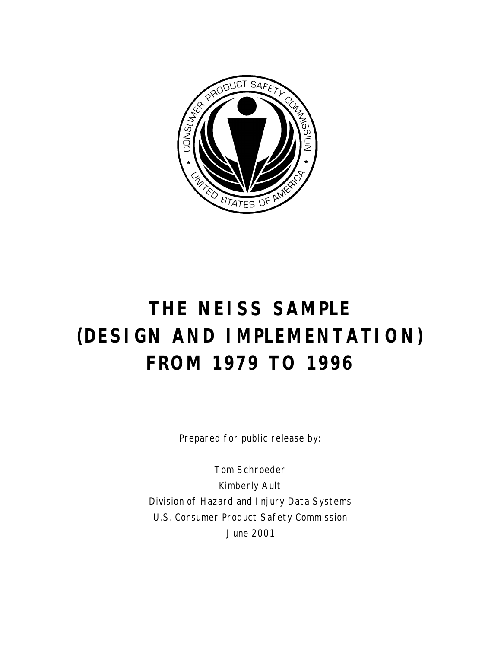

# **THE NEISS SAMPLE (DESIGN AND IMPLEMENTATION) FROM 1979 TO 1996**

Prepared for public release by:

Tom Schroeder Kimberly Ault Division of Hazard and Injury Data Systems U.S. Consumer Product Safety Commission June 2001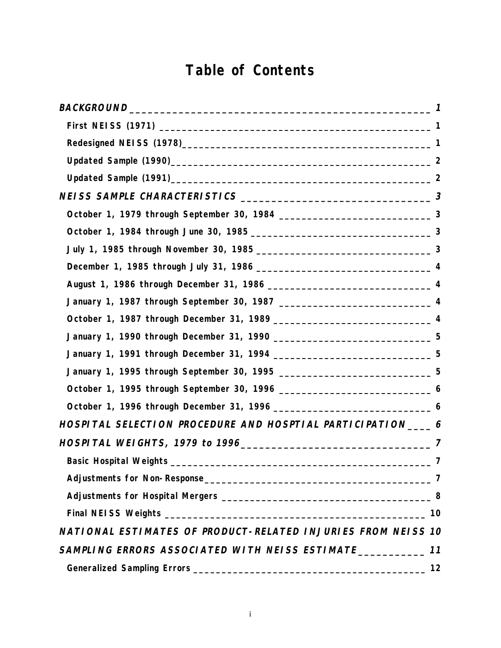## **Table of Contents**

| January 1, 1990 through December 31, 1990 _______________________________5    |    |
|-------------------------------------------------------------------------------|----|
| January 1, 1991 through December 31, 1994 _____________________________5      |    |
| January 1, 1995 through September 30, 1995 _________________________________5 |    |
|                                                                               |    |
|                                                                               |    |
| HOSPITAL SELECTION PROCEDURE AND HOSPTIAL PARTICIPATION____6                  |    |
|                                                                               |    |
|                                                                               |    |
|                                                                               |    |
|                                                                               |    |
|                                                                               |    |
| NATIONAL ESTIMATES OF PRODUCT-RELATED INJURIES FROM NEISS 10                  |    |
| SAMPLING ERRORS ASSOCIATED WITH NEISS ESTIMATE                                | 11 |
|                                                                               | 12 |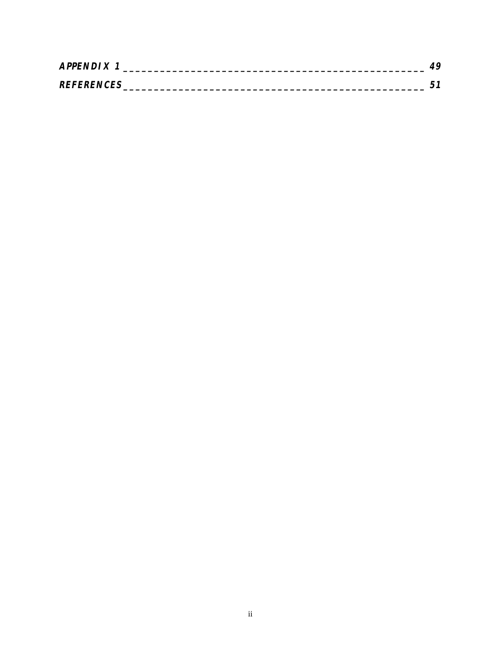| <b>APPENDIX</b>   |  |
|-------------------|--|
| <b>REFERENCES</b> |  |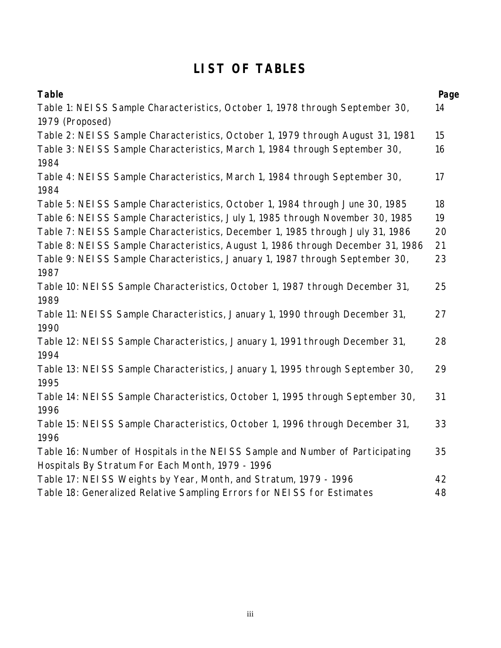## **LIST OF TABLES**

| <b>Table</b>                                                                    | Page |
|---------------------------------------------------------------------------------|------|
| Table 1: NEISS Sample Characteristics, October 1, 1978 through September 30,    | 14   |
| 1979 (Proposed)                                                                 |      |
| Table 2: NEISS Sample Characteristics, October 1, 1979 through August 31, 1981  | 15   |
| Table 3: NEISS Sample Characteristics, March 1, 1984 through September 30,      | 16   |
| 1984                                                                            |      |
| Table 4: NEISS Sample Characteristics, March 1, 1984 through September 30,      | 17   |
| 1984                                                                            |      |
| Table 5: NEISS Sample Characteristics, October 1, 1984 through June 30, 1985    | 18   |
| Table 6: NEISS Sample Characteristics, July 1, 1985 through November 30, 1985   | 19   |
| Table 7: NEISS Sample Characteristics, December 1, 1985 through July 31, 1986   | 20   |
| Table 8: NEISS Sample Characteristics, August 1, 1986 through December 31, 1986 | 21   |
| Table 9: NEISS Sample Characteristics, January 1, 1987 through September 30,    | 23   |
| 1987                                                                            |      |
| Table 10: NEISS Sample Characteristics, October 1, 1987 through December 31,    | 25   |
| 1989                                                                            |      |
| Table 11: NEISS Sample Characteristics, January 1, 1990 through December 31,    | 27   |
| 1990                                                                            |      |
| Table 12: NEISS Sample Characteristics, January 1, 1991 through December 31,    | 28   |
| 1994                                                                            |      |
| Table 13: NEISS Sample Characteristics, January 1, 1995 through September 30,   | 29   |
| 1995                                                                            |      |
| Table 14: NEISS Sample Characteristics, October 1, 1995 through September 30,   | 31   |
| 1996                                                                            |      |
| Table 15: NEISS Sample Characteristics, October 1, 1996 through December 31,    | 33   |
| 1996                                                                            |      |
| Table 16: Number of Hospitals in the NEISS Sample and Number of Participating   | 35   |
| Hospitals By Stratum For Each Month, 1979 - 1996                                |      |
| Table 17: NEISS Weights by Year, Month, and Stratum, 1979 - 1996                | 42   |
| Table 18: Generalized Relative Sampling Errors for NEISS for Estimates          | 48   |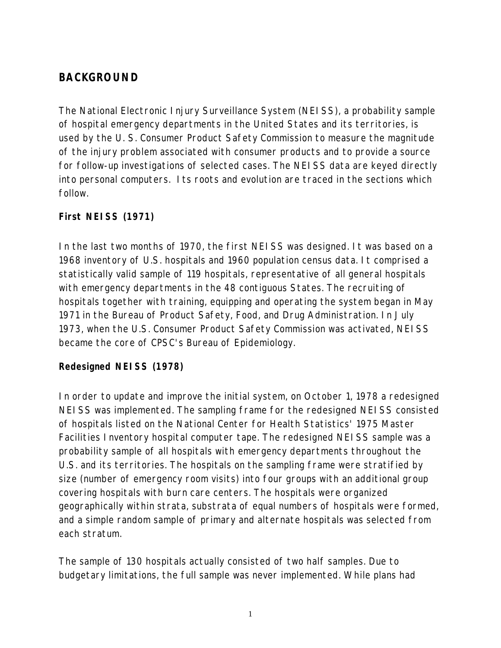## **BACKGROUND**

The National Electronic Injury Surveillance System (NEISS), a probability sample of hospital emergency departments in the United States and its territories, is used by the U. S. Consumer Product Safety Commission to measure the magnitude of the injury problem associated with consumer products and to provide a source for follow-up investigations of selected cases. The NEISS data are keyed directly into personal computers. Its roots and evolution are traced in the sections which follow.

## **First NEISS (1971)**

In the last two months of 1970, the first NEISS was designed. It was based on a 1968 inventory of U.S. hospitals and 1960 population census data. It comprised a statistically valid sample of 119 hospitals, representative of all general hospitals with emergency departments in the 48 contiguous States. The recruiting of hospitals together with training, equipping and operating the system began in May 1971 in the Bureau of Product Safety, Food, and Drug Administration. In July 1973, when the U.S. Consumer Product Safety Commission was activated, NEISS became the core of CPSC's Bureau of Epidemiology.

## **Redesigned NEISS (1978)**

In order to update and improve the initial system, on October 1, 1978 a redesigned NEISS was implemented. The sampling frame for the redesigned NEISS consisted of hospitals listed on the National Center for Health Statistics' 1975 Master Facilities Inventory hospital computer tape. The redesigned NEISS sample was a probability sample of all hospitals with emergency departments throughout the U.S. and its territories. The hospitals on the sampling frame were stratified by size (number of emergency room visits) into four groups with an additional group covering hospitals with burn care centers. The hospitals were organized geographically within strata, substrata of equal numbers of hospitals were formed, and a simple random sample of primary and alternate hospitals was selected from each stratum.

The sample of 130 hospitals actually consisted of two half samples. Due to budgetary limitations, the full sample was never implemented. While plans had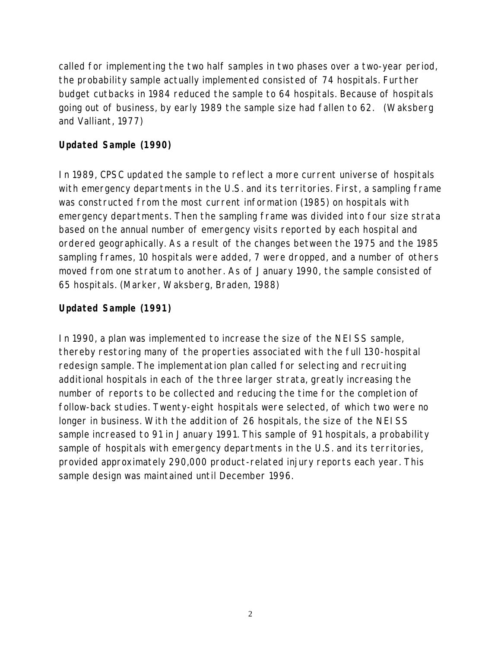called for implementing the two half samples in two phases over a two-year period, the probability sample actually implemented consisted of 74 hospitals. Further budget cutbacks in 1984 reduced the sample to 64 hospitals. Because of hospitals going out of business, by early 1989 the sample size had fallen to 62. (Waksberg and Valliant, 1977)

## **Updated Sample (1990)**

In 1989, CPSC updated the sample to reflect a more current universe of hospitals with emergency departments in the U.S. and its territories. First, a sampling frame was constructed from the most current information (1985) on hospitals with emergency departments. Then the sampling frame was divided into four size strata based on the annual number of emergency visits reported by each hospital and ordered geographically. As a result of the changes between the 1975 and the 1985 sampling frames, 10 hospitals were added, 7 were dropped, and a number of others moved from one stratum to another. As of January 1990, the sample consisted of 65 hospitals. (Marker, Waksberg, Braden, 1988)

## **Updated Sample (1991)**

In 1990, a plan was implemented to increase the size of the NEISS sample, thereby restoring many of the properties associated with the full 130-hospital redesign sample. The implementation plan called for selecting and recruiting additional hospitals in each of the three larger strata, greatly increasing the number of reports to be collected and reducing the time for the completion of follow-back studies. Twenty-eight hospitals were selected, of which two were no longer in business. With the addition of 26 hospitals, the size of the NEISS sample increased to 91 in January 1991. This sample of 91 hospitals, a probability sample of hospitals with emergency departments in the U.S. and its territories, provided approximately 290,000 product-related injury reports each year. This sample design was maintained until December 1996.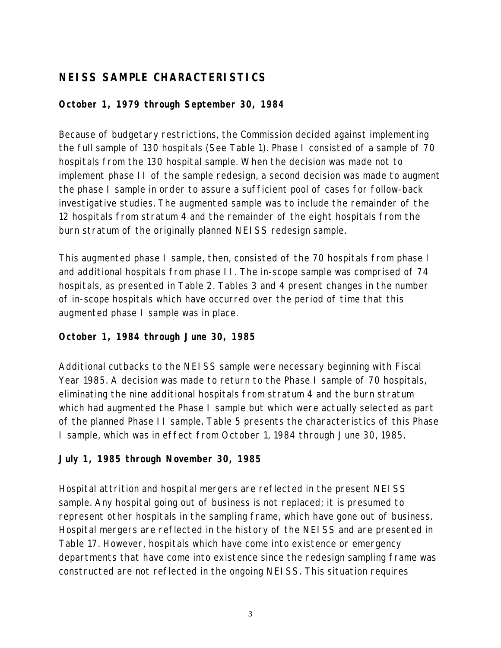## **NEISS SAMPLE CHARACTERISTICS**

## **October 1, 1979 through September 30, 1984**

Because of budgetary restrictions, the Commission decided against implementing the full sample of 130 hospitals (See Table 1). Phase I consisted of a sample of 70 hospitals from the 130 hospital sample. When the decision was made not to implement phase II of the sample redesign, a second decision was made to augment the phase I sample in order to assure a sufficient pool of cases for follow-back investigative studies. The augmented sample was to include the remainder of the 12 hospitals from stratum 4 and the remainder of the eight hospitals from the burn stratum of the originally planned NEISS redesign sample.

This augmented phase I sample, then, consisted of the 70 hospitals from phase I and additional hospitals from phase II. The in-scope sample was comprised of 74 hospitals, as presented in Table 2. Tables 3 and 4 present changes in the number of in-scope hospitals which have occurred over the period of time that this augmented phase I sample was in place.

## **October 1, 1984 through June 30, 1985**

Additional cutbacks to the NEISS sample were necessary beginning with Fiscal Year 1985. A decision was made to return to the Phase I sample of 70 hospitals, eliminating the nine additional hospitals from stratum 4 and the burn stratum which had augmented the Phase I sample but which were actually selected as part of the planned Phase II sample. Table 5 presents the characteristics of this Phase I sample, which was in effect from October 1, 1984 through June 30, 1985.

## **July 1, 1985 through November 30, 1985**

Hospital attrition and hospital mergers are reflected in the present NEISS sample. Any hospital going out of business is not replaced; it is presumed to represent other hospitals in the sampling frame, which have gone out of business. Hospital mergers are reflected in the history of the NEISS and are presented in Table 17. However, hospitals which have come into existence or emergency departments that have come into existence since the redesign sampling frame was constructed are not reflected in the ongoing NEISS. This situation requires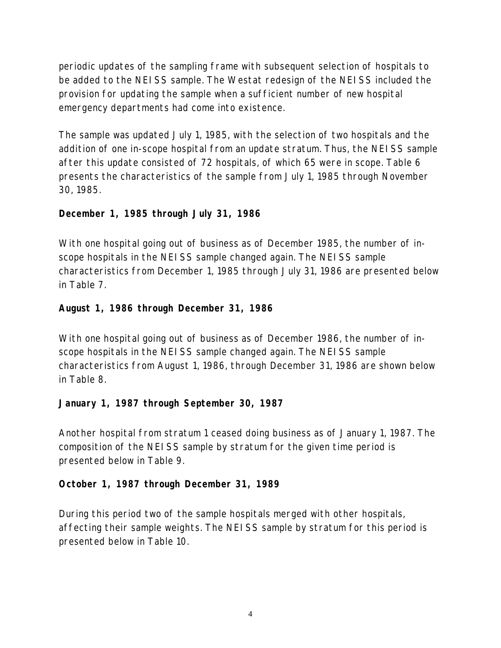periodic updates of the sampling frame with subsequent selection of hospitals to be added to the NEISS sample. The Westat redesign of the NEISS included the provision for updating the sample when a sufficient number of new hospital emergency departments had come into existence.

The sample was updated July 1, 1985, with the selection of two hospitals and the addition of one in-scope hospital from an update stratum. Thus, the NEISS sample after this update consisted of 72 hospitals, of which 65 were in scope. Table 6 presents the characteristics of the sample from July 1, 1985 through November 30, 1985.

## **December 1, 1985 through July 31, 1986**

With one hospital going out of business as of December 1985, the number of inscope hospitals in the NEISS sample changed again. The NEISS sample characteristics from December 1, 1985 through July 31, 1986 are presented below in Table 7.

## **August 1, 1986 through December 31, 1986**

With one hospital going out of business as of December 1986, the number of inscope hospitals in the NEISS sample changed again. The NEISS sample characteristics from August 1, 1986, through December 31, 1986 are shown below in Table 8.

## **January 1, 1987 through September 30, 1987**

Another hospital from stratum 1 ceased doing business as of January 1, 1987. The composition of the NEISS sample by stratum for the given time period is presented below in Table 9.

## **October 1, 1987 through December 31, 1989**

During this period two of the sample hospitals merged with other hospitals, affecting their sample weights. The NEISS sample by stratum for this period is presented below in Table 10.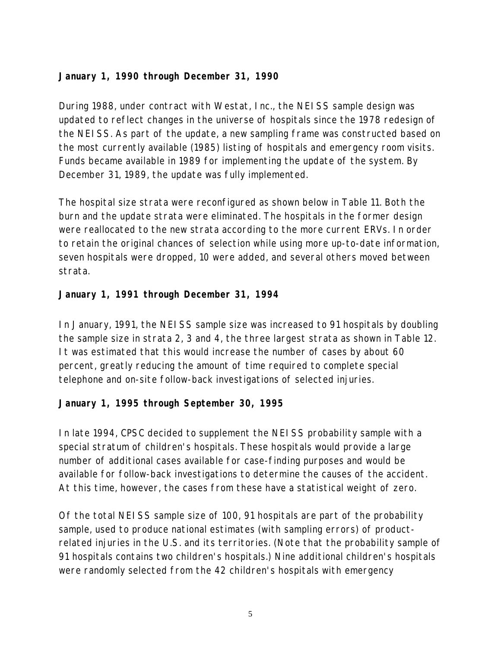## **January 1, 1990 through December 31, 1990**

During 1988, under contract with Westat, Inc., the NEISS sample design was updated to reflect changes in the universe of hospitals since the 1978 redesign of the NEISS. As part of the update, a new sampling frame was constructed based on the most currently available (1985) listing of hospitals and emergency room visits. Funds became available in 1989 for implementing the update of the system. By December 31, 1989, the update was fully implemented.

The hospital size strata were reconfigured as shown below in Table 11. Both the burn and the update strata were eliminated. The hospitals in the former design were reallocated to the new strata according to the more current ERVs. In order to retain the original chances of selection while using more up-to-date information, seven hospitals were dropped, 10 were added, and several others moved between strata.

## **January 1, 1991 through December 31, 1994**

In January, 1991, the NEISS sample size was increased to 91 hospitals by doubling the sample size in strata 2, 3 and 4, the three largest strata as shown in Table 12. It was estimated that this would increase the number of cases by about 60 percent, greatly reducing the amount of time required to complete special telephone and on-site follow-back investigations of selected injuries.

## **January 1, 1995 through September 30, 1995**

In late 1994, CPSC decided to supplement the NEISS probability sample with a special stratum of children's hospitals. These hospitals would provide a large number of additional cases available for case-finding purposes and would be available for follow-back investigations to determine the causes of the accident. At this time, however, the cases from these have a statistical weight of zero.

Of the total NEISS sample size of 100, 91 hospitals are part of the probability sample, used to produce national estimates (with sampling errors) of productrelated injuries in the U.S. and its territories. (Note that the probability sample of 91 hospitals contains two children's hospitals.) Nine additional children's hospitals were randomly selected from the 42 children's hospitals with emergency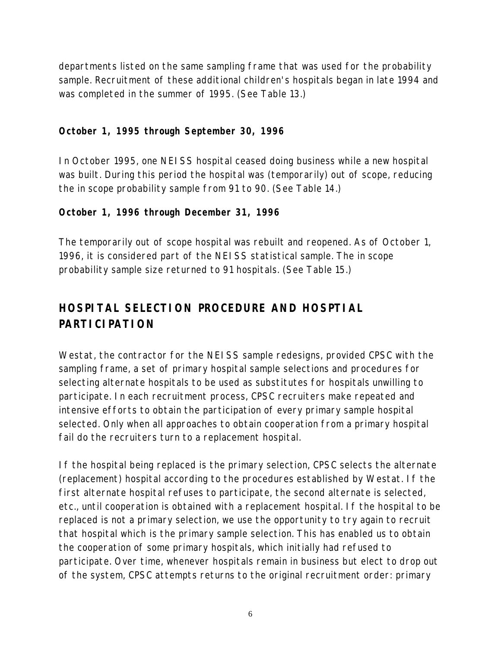departments listed on the same sampling frame that was used for the probability sample. Recruitment of these additional children's hospitals began in late 1994 and was completed in the summer of 1995. (See Table 13.)

## **October 1, 1995 through September 30, 1996**

In October 1995, one NEISS hospital ceased doing business while a new hospital was built. During this period the hospital was (temporarily) out of scope, reducing the in scope probability sample from 91 to 90. (See Table 14.)

### **October 1, 1996 through December 31, 1996**

The temporarily out of scope hospital was rebuilt and reopened. As of October 1, 1996, it is considered part of the NEISS statistical sample. The in scope probability sample size returned to 91 hospitals. (See Table 15.)

## **HOSPITAL SELECTION PROCEDURE AND HOSPTIAL PARTICIPATION**

Westat, the contractor for the NEISS sample redesigns, provided CPSC with the sampling frame, a set of primary hospital sample selections and procedures for selecting alternate hospitals to be used as substitutes for hospitals unwilling to participate. In each recruitment process, CPSC recruiters make repeated and intensive efforts to obtain the participation of every primary sample hospital selected. Only when all approaches to obtain cooperation from a primary hospital fail do the recruiters turn to a replacement hospital.

If the hospital being replaced is the primary selection, CPSC selects the alternate (replacement) hospital according to the procedures established by Westat. If the first alternate hospital refuses to participate, the second alternate is selected, etc., until cooperation is obtained with a replacement hospital. If the hospital to be replaced is not a primary selection, we use the opportunity to try again to recruit that hospital which is the primary sample selection. This has enabled us to obtain the cooperation of some primary hospitals, which initially had refused to participate. Over time, whenever hospitals remain in business but elect to drop out of the system, CPSC attempts returns to the original recruitment order: primary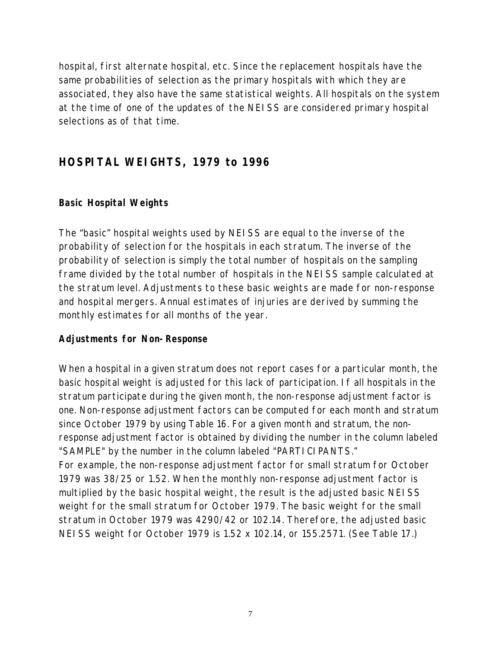hospital, first alternate hospital, etc. Since the replacement hospitals have the same probabilities of selection as the primary hospitals with which they are associated, they also have the same statistical weights. All hospitals on the system at the time of one of the updates of the NEISS are considered primary hospital selections as of that time.

## **HOSPITAL WEIGHTS, 1979 to 1996**

### **Basic Hospital Weights**

The "basic" hospital weights used by NEISS are equal to the inverse of the probability of selection for the hospitals in each stratum. The inverse of the probability of selection is simply the total number of hospitals on the sampling frame divided by the total number of hospitals in the NEISS sample calculated at the stratum level. Adjustments to these basic weights are made for non-response and hospital mergers. Annual estimates of injuries are derived by summing the monthly estimates for all months of the year.

#### **Adjustments for Non-Response**

When a hospital in a given stratum does not report cases for a particular month, the basic hospital weight is adjusted for this lack of participation. If all hospitals in the stratum participate during the given month, the non-response adjustment factor is one. Non-response adjustment factors can be computed for each month and stratum since October 1979 by using Table 16. For a given month and stratum, the nonresponse adjustment factor is obtained by dividing the number in the column labeled "SAMPLE" by the number in the column labeled "PARTICIPANTS."

For example, the non-response adjustment factor for small stratum for October 1979 was 38/25 or 1.52. When the monthly non-response adjustment factor is multiplied by the basic hospital weight, the result is the adjusted basic NEISS weight for the small stratum for October 1979. The basic weight for the small stratum in October 1979 was 4290/42 or 102.14. Therefore, the adjusted basic NEISS weight for October 1979 is 1.52 x 102.14, or 155.2571. (See Table 17.)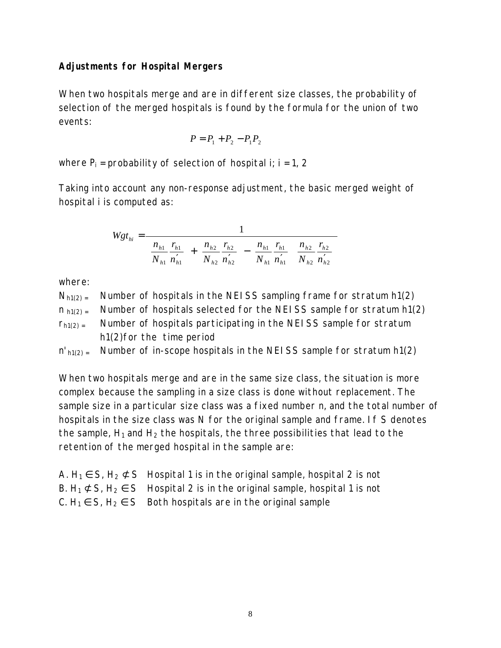## **Adjustments for Hospital Mergers**

When two hospitals merge and are in different size classes, the probability of selection of the merged hospitals is found by the formula for the union of two events:

$$
P = P_1 + P_2 - P_1 P_2
$$

where  $P_i$  = probability of selection of hospital i; i = 1, 2

Taking into account any non-response adjustment, the basic merged weight of hospital i is computed as:

$$
Wgt_{hi} = \frac{1}{\left(\frac{n_{h1}}{N_{h1}}\frac{r_{h1}}{n_{h1}'}\right) + \left(\frac{n_{h2}}{N_{h2}}\frac{r_{h2}}{n_{h2}'}\right) - \left(\frac{n_{h1}}{N_{h1}}\frac{r_{h1}}{n_{h1}'}\right)\left(\frac{n_{h2}}{N_{h2}}\frac{r_{h2}}{n_{h2}'}\right)}
$$

where:

- $N_{h1(2)}$  Mumber of hospitals in the NEISS sampling frame for stratum h1(2)
- $n_{h1(2)}$  Mumber of hospitals selected for the NEISS sample for stratum h1(2)
- $r<sub>h1(2)</sub>$  Number of hospitals participating in the NEISS sample for stratum h1(2)for the time period
- $n'_{h1(2)}$  = Number of in-scope hospitals in the NEISS sample for stratum h1(2)

When two hospitals merge and are in the same size class, the situation is more complex because the sampling in a size class is done without replacement. The sample size in a particular size class was a fixed number n, and the total number of hospitals in the size class was N for the original sample and frame. If S denotes the sample,  $H_1$  and  $H_2$  the hospitals, the three possibilities that lead to the retention of the merged hospital in the sample are:

| A. $H_1 \in S$ , $H_2 \not\subset S$ Hospital 1 is in the original sample, hospital 2 is not |
|----------------------------------------------------------------------------------------------|
| B. $H_1 \not\subset S$ , $H_2 \in S$ Hospital 2 is in the original sample, hospital 1 is not |
| C. $H_1 \in S$ , $H_2 \in S$ Both hospitals are in the original sample                       |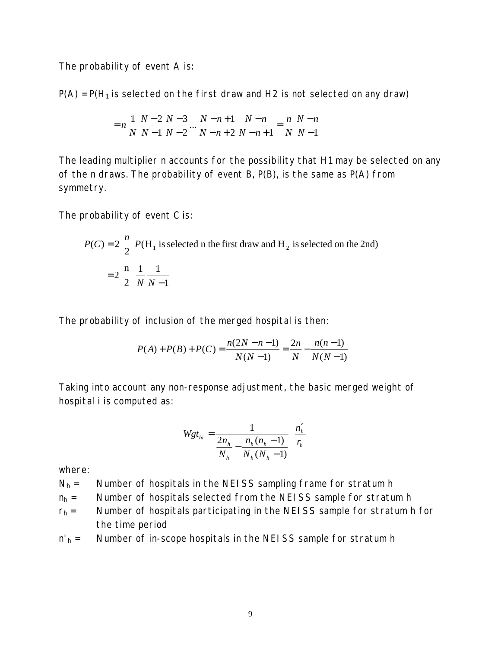The probability of event A is:

 $P(A) = P(H_1)$  is selected on the first draw and H2 is not selected on any draw)

$$
= n \frac{1}{N} \frac{N-2}{N-1} \frac{N-3}{N-2} \dots \frac{N-n+1}{N-n+2} \frac{N-n}{N-n+1} = \frac{n}{N} \frac{N-n}{N-1}
$$

The leading multiplier n accounts for the possibility that H1 may be selected on any of the n draws. The probability of event  $B$ ,  $P(B)$ , is the same as  $P(A)$  from symmetry.

The probability of event C is:

$$
P(C) = 2\binom{n}{2} P(H_1 \text{ is selected in the first draw and } H_2 \text{ is selected on the 2nd})
$$

$$
= 2\binom{n}{2} \frac{1}{N} \frac{1}{N-1}
$$

The probability of inclusion of the merged hospital is then:

$$
P(A) + P(B) + P(C) = \frac{n(2N - n - 1)}{N(N - 1)} = \frac{2n}{N} - \frac{n(n - 1)}{N(N - 1)}
$$

Taking into account any non-response adjustment, the basic merged weight of hospital i is computed as:

$$
Wgt_{hi} = \frac{1}{\frac{2n_h}{N_h} - \frac{n_h(n_h - 1)}{N_h(N_h - 1)}} \left(\frac{n'_h}{r_h}\right)
$$

where:

- $N_h$  = Number of hospitals in the NEISS sampling frame for stratum h
- $n_h$  = Number of hospitals selected from the NEISS sample for stratum h
- $r_h$  = Number of hospitals participating in the NEISS sample for stratum h for the time period
- $n'_h$  = Number of in-scope hospitals in the NEISS sample for stratum h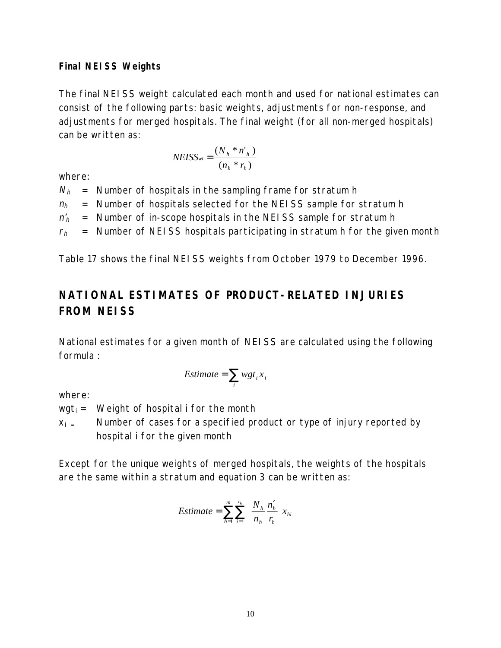## **Final NEISS Weights**

The final NEISS weight calculated each month and used for national estimates can consist of the following parts: basic weights, adjustments for non-response, and adjustments for merged hospitals. The final weight (for all non-merged hospitals) can be written as:

$$
NEISS_{wt} = \frac{(N_h * n'_h)}{(n_h * r_h)}
$$

where:

 $N_h$  = Number of hospitals in the sampling frame for stratum h  $n_h$  = Number of hospitals selected for the NEISS sample for stratum h  $n'_h$  = Number of in-scope hospitals in the NEISS sample for stratum h  $r_h$  = Number of NEISS hospitals participating in stratum h for the given month

Table 17 shows the final NEISS weights from October 1979 to December 1996.

## **NATIONAL ESTIMATES OF PRODUCT-RELATED INJURIES FROM NEISS**

National estimates for a given month of NEISS are calculated using the following formula :

$$
Estimate = \sum_{i} wgt_i x_i
$$

where:

 $wgt_i =$  Weight of hospital i for the month

 $x_i$  = Number of cases for a specified product or type of injury reported by hospital i for the given month

Except for the unique weights of merged hospitals, the weights of the hospitals are the same within a stratum and equation 3 can be written as:

*Estimate* = 
$$
\sum_{h=1}^{m} \sum_{i=1}^{r_h} \left( \frac{N_h}{n_h} \frac{n'_h}{r_h} \right) x_{hi}
$$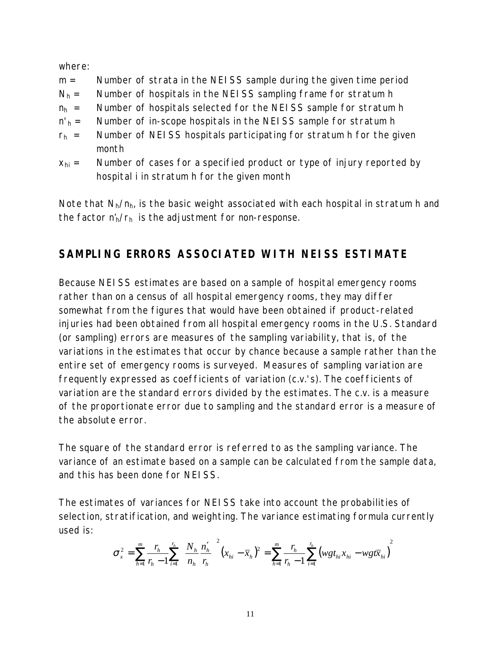where:

- m = Number of strata in the NEISS sample during the given time period
- $N_h$  = Number of hospitals in the NEISS sampling frame for stratum h
- $n_h$  = Number of hospitals selected for the NEISS sample for stratum h
- $n'_h$  = Number of in-scope hospitals in the NEISS sample for stratum h
- $r_h$  = Number of NEISS hospitals participating for stratum h for the given month
- $x<sub>hi</sub>$  = Number of cases for a specified product or type of injury reported by hospital i in stratum h for the given month

Note that  $N_h/n_h$ , is the basic weight associated with each hospital in stratum h and the factor  $n'_h/r_h$  is the adjustment for non-response.

## **SAMPLING ERRORS ASSOCIATED WITH NEISS ESTIMATE**

Because NEISS estimates are based on a sample of hospital emergency rooms rather than on a census of all hospital emergency rooms, they may differ somewhat from the figures that would have been obtained if product-related injuries had been obtained from all hospital emergency rooms in the U.S. Standard (or sampling) errors are measures of the sampling variability, that is, of the variations in the estimates that occur by chance because a sample rather than the entire set of emergency rooms is surveyed. Measures of sampling variation are frequently expressed as coefficients of variation (c.v.'s). The coefficients of variation are the standard errors divided by the estimates. The c.v. is a measure of the proportionate error due to sampling and the standard error is a measure of the absolute error.

The square of the standard error is referred to as the sampling variance. The variance of an estimate based on a sample can be calculated from the sample data, and this has been done for NEISS.

The estimates of variances for NEISS take into account the probabilities of selection, stratification, and weighting. The variance estimating formula currently used is:

$$
\sigma_x^2 = \sum_{h=1}^m \frac{r_h}{r_h - 1} \sum_{i=1}^{r_h} \left( \frac{N_h}{n_h} \frac{n'_h}{r_h} \right)^2 (x_{hi} - \overline{x}_h)^2 = \sum_{h=1}^m \frac{r_h}{r_h - 1} \sum_{i=1}^{r_h} (wgt_{hi} x_{hi} - wgt\overline{x}_{hi})^2
$$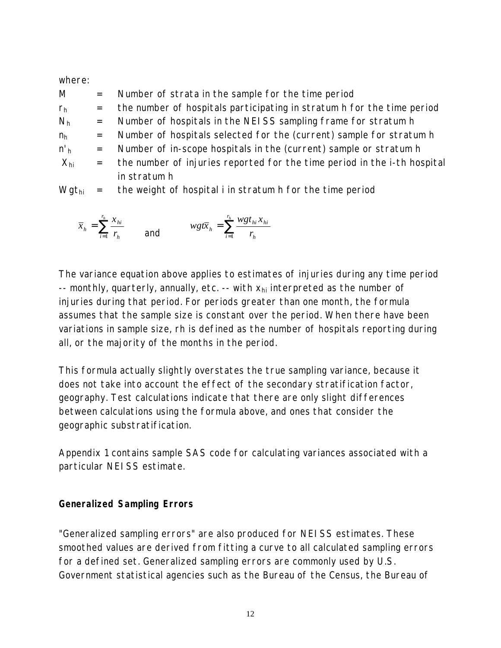### where:

| M              | $=$      | Number of strata in the sample for the time period                                                                                                                                                                                                                                                                                                                                                                           |
|----------------|----------|------------------------------------------------------------------------------------------------------------------------------------------------------------------------------------------------------------------------------------------------------------------------------------------------------------------------------------------------------------------------------------------------------------------------------|
| r <sub>h</sub> | $=$      | the number of hospitals participating in stratum h for the time period                                                                                                                                                                                                                                                                                                                                                       |
| N <sub>h</sub> | $=$      | Number of hospitals in the NEISS sampling frame for stratum h                                                                                                                                                                                                                                                                                                                                                                |
| $n_h$          | $=$      | Number of hospitals selected for the (current) sample for stratum h                                                                                                                                                                                                                                                                                                                                                          |
| $n_{h}$        | $=$      | Number of in-scope hospitals in the (current) sample or stratum h                                                                                                                                                                                                                                                                                                                                                            |
| $X_{hi}$       | $=$ $\,$ | the number of injuries reported for the time period in the i-th hospital                                                                                                                                                                                                                                                                                                                                                     |
|                |          | in stratum h                                                                                                                                                                                                                                                                                                                                                                                                                 |
| $\cdots$       |          | $\mathbf{H} = \mathbf{H} + \mathbf{H} + \mathbf{H} + \mathbf{H} + \mathbf{H} + \mathbf{H} + \mathbf{H} + \mathbf{H} + \mathbf{H} + \mathbf{H} + \mathbf{H} + \mathbf{H} + \mathbf{H} + \mathbf{H} + \mathbf{H} + \mathbf{H} + \mathbf{H} + \mathbf{H} + \mathbf{H} + \mathbf{H} + \mathbf{H} + \mathbf{H} + \mathbf{H} + \mathbf{H} + \mathbf{H} + \mathbf{H} + \mathbf{H} + \mathbf{H} + \mathbf{H} + \mathbf{H} + \mathbf$ |

Wgt<sub>hi</sub>  $=$  the weight of hospital i in stratum h for the time period

$$
\bar{x}_h = \sum_{i=1}^{r_h} \frac{x_{hi}}{r_h} \qquad \text{and} \qquad \quad \text{wgt}_{h} = \sum_{i=1}^{r_h} \frac{\text{wgt}_{hi} x_{hi}}{r_h}
$$

The variance equation above applies to estimates of injuries during any time period -- monthly, quarterly, annually, etc. -- with  $x_{hi}$  interpreted as the number of injuries during that period. For periods greater than one month, the formula assumes that the sample size is constant over the period. When there have been variations in sample size, rh is defined as the number of hospitals reporting during all, or the majority of the months in the period.

This formula actually slightly overstates the true sampling variance, because it does not take into account the effect of the secondary stratification factor, geography. Test calculations indicate that there are only slight differences between calculations using the formula above, and ones that consider the geographic substratification.

Appendix 1 contains sample SAS code for calculating variances associated with a particular NEISS estimate.

## **Generalized Sampling Errors**

"Generalized sampling errors" are also produced for NEISS estimates. These smoothed values are derived from fitting a curve to all calculated sampling errors for a defined set. Generalized sampling errors are commonly used by U.S. Government statistical agencies such as the Bureau of the Census, the Bureau of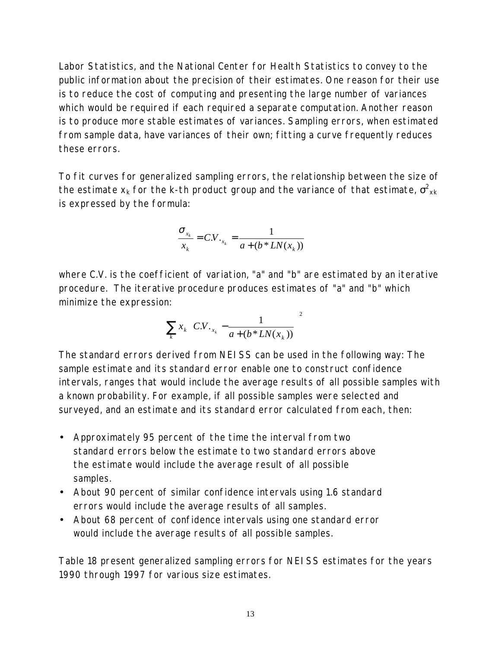Labor Statistics, and the National Center for Health Statistics to convey to the public information about the precision of their estimates. One reason for their use is to reduce the cost of computing and presenting the large number of variances which would be required if each required a separate computation. Another reason is to produce more stable estimates of variances. Sampling errors, when estimated from sample data, have variances of their own; fitting a curve frequently reduces these errors.

To fit curves for generalized sampling errors, the relationship between the size of the estimate  ${\mathsf x}_{{\mathsf k}}$  for the k-th product group and the variance of that estimate,  ${\sigma}^2_{\mathsf x {{\mathsf k}}}$ is expressed by the formula:

$$
\frac{\sigma_{x_k}}{x_k} = C.V._{x_k} = \frac{1}{a + (b * LN(x_k))}
$$

where C.V. is the coefficient of variation, "a" and "b" are estimated by an iterative procedure. The iterative procedure produces estimates of "a" and "b" which minimize the expression:

$$
\sum_{k} x_k \left( C.V._{x_k} - \frac{1}{a + (b * LN(x_k))} \right)^2
$$

The standard errors derived from NEISS can be used in the following way: The sample estimate and its standard error enable one to construct confidence intervals, ranges that would include the average results of all possible samples with a known probability. For example, if all possible samples were selected and surveyed, and an estimate and its standard error calculated from each, then:

- Approximately 95 percent of the time the interval from two standard errors below the estimate to two standard errors above the estimate would include the average result of all possible samples.
- About 90 percent of similar confidence intervals using 1.6 standard errors would include the average results of all samples.
- About 68 percent of confidence intervals using one standard error would include the average results of all possible samples.

Table 18 present generalized sampling errors for NEISS estimates for the years 1990 through 1997 for various size estimates.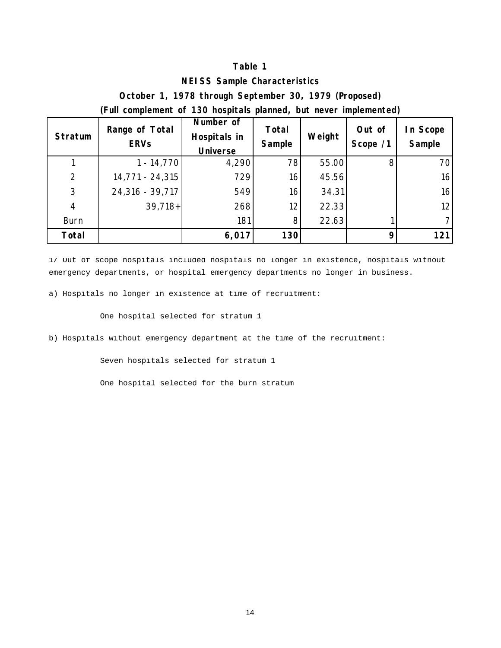#### **NEISS Sample Characteristics**

**October 1, 1978 through September 30, 1979 (Proposed)**

**(Full complement of 130 hospitals planned, but never implemented)**

| <b>Stratum</b> | Range of Total<br><b>ERVs</b> | Number of<br>Hospitals in<br><b>Universe</b> | Total<br>Sample | Weight | Out of<br>Scope /1 | In Scope<br>Sample |
|----------------|-------------------------------|----------------------------------------------|-----------------|--------|--------------------|--------------------|
|                | $1 - 14,770$                  | 4,290                                        | 78              | 55.00  | 8                  | 70                 |
| 2              | 14,771 - 24,315               | 729                                          | 16              | 45.56  |                    | 16                 |
| 3              | $24,316 - 39,717$             | 549                                          | 16              | 34.31  |                    | 16                 |
| $\overline{4}$ | $39,718+$                     | 268                                          | 12 <sub>1</sub> | 22.33  |                    | 12 <sup>12</sup>   |
| <b>Burn</b>    |                               | 181                                          | 8 <sup>1</sup>  | 22.63  |                    | 71                 |
| <b>Total</b>   |                               | 6,017                                        | 130             |        |                    | 121                |

1/ Out of scope hospitals included hospitals no longer in existence, hospitals without emergency departments, or hospital emergency departments no longer in business.

a) Hospitals no longer in existence at time of recruitment:

One hospital selected for stratum 1

b) Hospitals without emergency department at the time of the recruitment:

Seven hospitals selected for stratum 1

One hospital selected for the burn stratum

14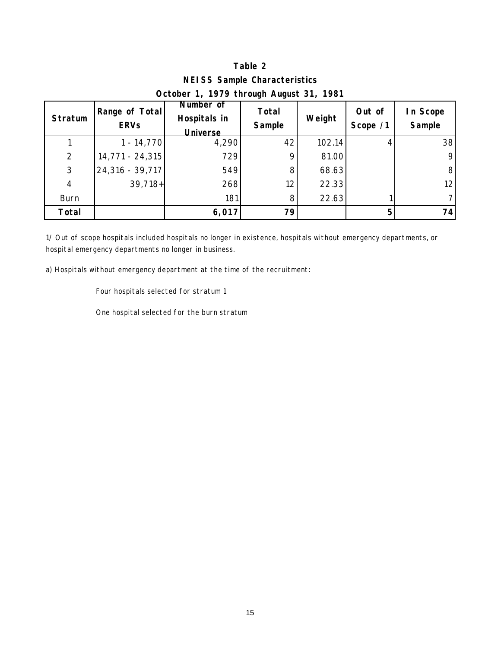**NEISS Sample Characteristics October 1, 1979 through August 31, 1981**

| Stratum        | Range of Total<br><b>ERVs</b> | Number of<br>Hospitals in<br><b>Universe</b> | Total<br>Sample | Weight | Out of<br>Scope /1 | In Scope<br>Sample |
|----------------|-------------------------------|----------------------------------------------|-----------------|--------|--------------------|--------------------|
|                | $1 - 14,770$                  | 4,290                                        | 42              | 102.14 |                    | 38                 |
| 2              | 14,771 - 24,315               | 729                                          | 9               | 81.00  |                    | 9                  |
| 3              | $24,316 - 39,717$             | 549                                          | 8               | 68.63  |                    | 8                  |
| $\overline{4}$ | $39,718+$                     | 268                                          | 12              | 22.33  |                    | 12 <sup>2</sup>    |
| <b>Burn</b>    |                               | 181                                          | 8               | 22.63  |                    |                    |
| <b>Total</b>   |                               | 6,017                                        | 79              |        | 5                  | 74                 |

1/ Out of scope hospitals included hospitals no longer in existence, hospitals without emergency departments, or hospital emergency departments no longer in business.

a) Hospitals without emergency department at the time of the recruitment:

Four hospitals selected for stratum 1

One hospital selected for the burn stratum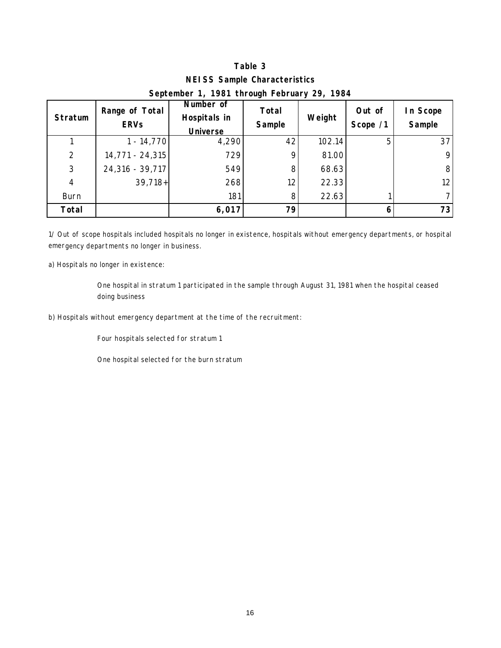## **Table 3 NEISS Sample Characteristics September 1, 1981 through February 29, 1984**

| <b>Stratum</b> | Range of Total<br><b>ERVs</b> | Number of<br>Hospitals in<br><b>Universe</b> | Total<br>Sample | Weight | Out of<br>Scope /1 | In Scope<br>Sample |
|----------------|-------------------------------|----------------------------------------------|-----------------|--------|--------------------|--------------------|
|                | $1 - 14,770$                  | 4,290                                        | 42              | 102.14 | 5                  | 37                 |
| $\overline{2}$ | 14,771 - 24,315               | 729                                          | Q               | 81.00  |                    | 9                  |
| 3              | $24,316 - 39,717$             | 549                                          | 8               | 68.63  |                    | 8 <sup>1</sup>     |
| $\overline{4}$ | $39,718+$                     | 268                                          | 12              | 22.33  |                    | 12                 |
| <b>Burn</b>    |                               | 181                                          | 8 <sup>1</sup>  | 22.63  |                    | 71                 |
| Total          |                               | 6,017                                        | 79              |        |                    | 73                 |

1/ Out of scope hospitals included hospitals no longer in existence, hospitals without emergency departments, or hospital emergency departments no longer in business.

a) Hospitals no longer in existence:

One hospital in stratum 1 participated in the sample through August 31, 1981 when the hospital ceased doing business

b) Hospitals without emergency department at the time of the recruitment:

Four hospitals selected for stratum 1

One hospital selected for the burn stratum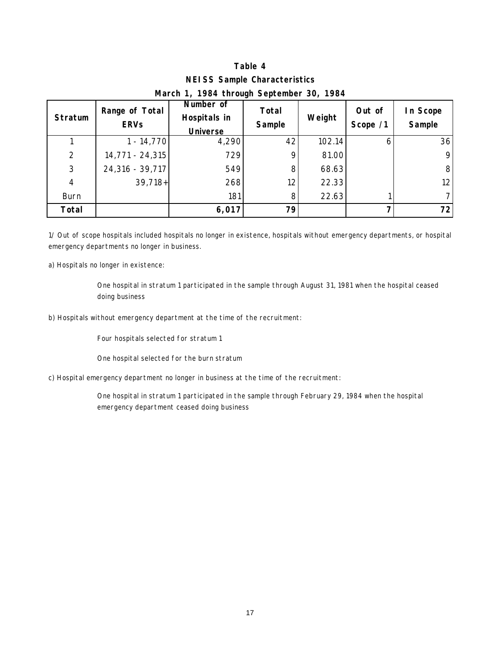## **Table 4 NEISS Sample Characteristics March 1, 1984 through September 30, 1984**

| Stratum        | Range of Total<br><b>ERVs</b> | Number of<br>Hospitals in<br><b>Universe</b> | <b>Total</b><br>Sample | Weight | Out of<br>Scope /1 | In Scope<br>Sample |
|----------------|-------------------------------|----------------------------------------------|------------------------|--------|--------------------|--------------------|
|                | $1 - 14,770$                  | 4,290                                        | 42                     | 102.14 |                    | 36                 |
| $\overline{2}$ | 14,771 - 24,315               | 729                                          | 9                      | 81.00  |                    | 9                  |
| 3              | $24,316 - 39,717$             | 549                                          | 8                      | 68.63  |                    | 8 <sup>1</sup>     |
| $\overline{4}$ | $39,718+$                     | 268                                          | 12 <sub>1</sub>        | 22.33  |                    | 12                 |
| <b>Burn</b>    |                               | 181                                          | 8 <sub>l</sub>         | 22.63  |                    | 71                 |
| <b>Total</b>   |                               | 6,017                                        | 79                     |        |                    | 72 <sub>l</sub>    |

1/ Out of scope hospitals included hospitals no longer in existence, hospitals without emergency departments, or hospital emergency departments no longer in business.

a) Hospitals no longer in existence:

One hospital in stratum 1 participated in the sample through August 31, 1981 when the hospital ceased doing business

b) Hospitals without emergency department at the time of the recruitment:

Four hospitals selected for stratum 1

One hospital selected for the burn stratum

c) Hospital emergency department no longer in business at the time of the recruitment:

One hospital in stratum 1 participated in the sample through February 29, 1984 when the hospital emergency department ceased doing business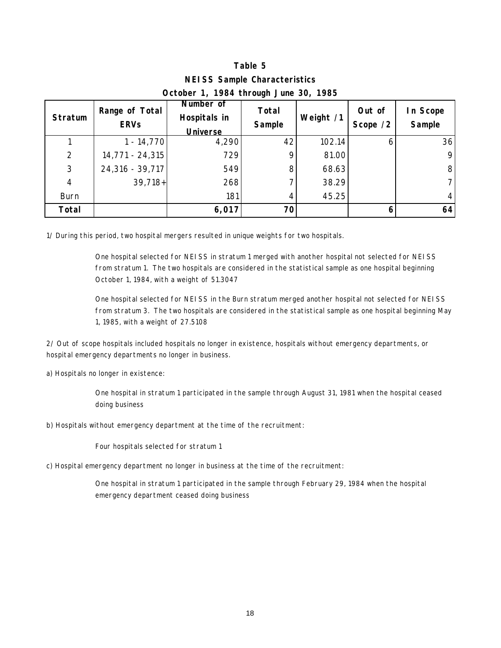|                                       | <b>NEISS Sample Characteristics</b> |  |  |
|---------------------------------------|-------------------------------------|--|--|
| October 1, 1984 through June 30, 1985 |                                     |  |  |

| Stratum        | Range of Total<br><b>ERVs</b> | Number of<br>Hospitals in<br><b>Universe</b> | Total<br>Sample | Weight /1 | Out of<br>Scope /2 | In Scope<br>Sample |
|----------------|-------------------------------|----------------------------------------------|-----------------|-----------|--------------------|--------------------|
|                | $1 - 14,770$                  | 4,290                                        | 42              | 102.14    |                    | 36                 |
| 2              | 14,771 - 24,315               | 729                                          | Q               | 81.00     |                    | 9                  |
| 3              | 24,316 - 39,717               | 549                                          | 8               | 68.63     |                    | 8                  |
| $\overline{4}$ | $39,718+$                     | 268                                          |                 | 38.29     |                    |                    |
| <b>Burn</b>    |                               | 181                                          | 4               | 45.25     |                    | 4                  |
| Total          |                               | 6,017                                        | 70              |           |                    | 64                 |

1/ During this period, two hospital mergers resulted in unique weights for two hospitals.

One hospital selected for NEISS in stratum 1 merged with another hospital not selected for NEISS from stratum 1. The two hospitals are considered in the statistical sample as one hospital beginning October 1, 1984, with a weight of 51.3047

One hospital selected for NEISS in the Burn stratum merged another hospital not selected for NEISS from stratum 3. The two hospitals are considered in the statistical sample as one hospital beginning May 1, 1985, with a weight of 27.5108

2/ Out of scope hospitals included hospitals no longer in existence, hospitals without emergency departments, or hospital emergency departments no longer in business.

a) Hospitals no longer in existence:

One hospital in stratum 1 participated in the sample through August 31, 1981 when the hospital ceased doing business

b) Hospitals without emergency department at the time of the recruitment:

Four hospitals selected for stratum 1

c) Hospital emergency department no longer in business at the time of the recruitment:

One hospital in stratum 1 participated in the sample through February 29, 1984 when the hospital emergency department ceased doing business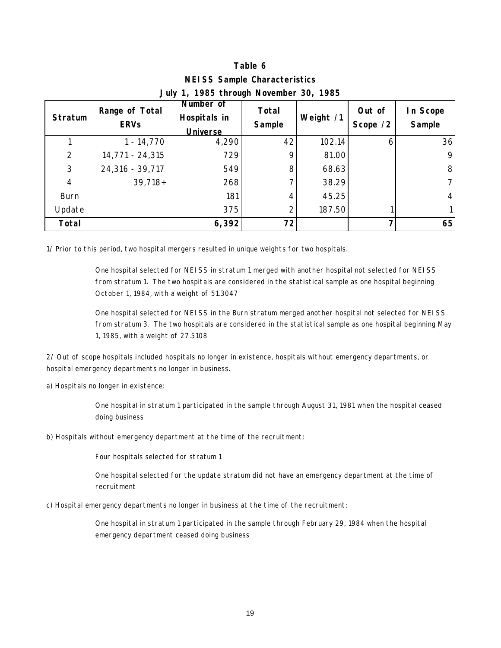## **Table 6 NEISS Sample Characteristics July 1, 1985 through November 30, 1985**

| <b>Stratum</b> | Range of Total<br><b>ERVs</b> | Number of<br>Hospitals in<br><b>Universe</b> | Total<br>Sample | Weight /1 | Out of<br>Scope /2 | In Scope<br>Sample |
|----------------|-------------------------------|----------------------------------------------|-----------------|-----------|--------------------|--------------------|
|                | $1 - 14,770$                  | 4,290                                        | 42              | 102.14    |                    | 36                 |
| 2              | 14,771 - 24,315               | 729                                          | 9               | 81.00     |                    | 9                  |
| 3              | 24,316 - 39,717               | 549                                          | 8               | 68.63     |                    | 8                  |
| $\overline{4}$ | $39,718+$                     | 268                                          |                 | 38.29     |                    |                    |
| <b>Burn</b>    |                               | 181                                          |                 | 45.25     |                    | 4                  |
| Update         |                               | 375                                          |                 | 187.50    |                    |                    |
| Total          |                               | 6,392                                        | 72              |           |                    | 65                 |

1/ Prior to this period, two hospital mergers resulted in unique weights for two hospitals.

One hospital selected for NEISS in stratum 1 merged with another hospital not selected for NEISS from stratum 1. The two hospitals are considered in the statistical sample as one hospital beginning October 1, 1984, with a weight of 51.3047

One hospital selected for NEISS in the Burn stratum merged another hospital not selected for NEISS from stratum 3. The two hospitals are considered in the statistical sample as one hospital beginning May 1, 1985, with a weight of 27.5108

2/ Out of scope hospitals included hospitals no longer in existence, hospitals without emergency departments, or hospital emergency departments no longer in business.

a) Hospitals no longer in existence:

One hospital in stratum 1 participated in the sample through August 31, 1981 when the hospital ceased doing business

b) Hospitals without emergency department at the time of the recruitment:

Four hospitals selected for stratum 1

One hospital selected for the update stratum did not have an emergency department at the time of recruitment

c) Hospital emergency departments no longer in business at the time of the recruitment:

One hospital in stratum 1 participated in the sample through February 29, 1984 when the hospital emergency department ceased doing business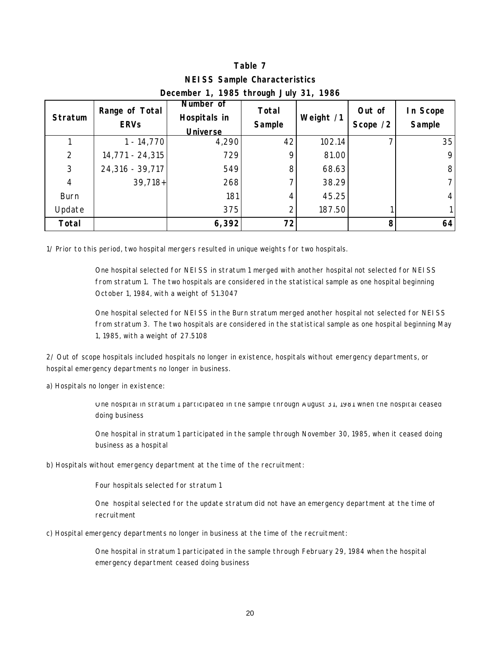## **Table 7 NEISS Sample Characteristics December 1, 1985 through July 31, 1986**

| Stratum        | Range of Total<br><b>ERVs</b> | Number of<br>Hospitals in<br><b>Universe</b> | <b>Total</b><br>Sample | Weight /1 | Out of<br>Scope /2 | In Scope<br>Sample |
|----------------|-------------------------------|----------------------------------------------|------------------------|-----------|--------------------|--------------------|
|                | $1 - 14,770$                  | 4,290                                        | 42                     | 102.14    |                    | 35                 |
| 2              | 14,771 - 24,315               | 729                                          | 9                      | 81.00     |                    | 9                  |
| 3              | 24,316 - 39,717               | 549                                          | 8                      | 68.63     |                    | 8                  |
| $\overline{4}$ | $39,718+$                     | 268                                          |                        | 38.29     |                    |                    |
| <b>Burn</b>    |                               | 181                                          |                        | 45.25     |                    | 4                  |
| Update         |                               | 375                                          |                        | 187.50    |                    |                    |
| Total          |                               | 6,392                                        | 72                     |           |                    | 64                 |

1/ Prior to this period, two hospital mergers resulted in unique weights for two hospitals.

One hospital selected for NEISS in stratum 1 merged with another hospital not selected for NEISS from stratum 1. The two hospitals are considered in the statistical sample as one hospital beginning October 1, 1984, with a weight of 51.3047

One hospital selected for NEISS in the Burn stratum merged another hospital not selected for NEISS from stratum 3. The two hospitals are considered in the statistical sample as one hospital beginning May 1, 1985, with a weight of 27.5108

2/ Out of scope hospitals included hospitals no longer in existence, hospitals without emergency departments, or hospital emergency departments no longer in business.

a) Hospitals no longer in existence:

One hospital in stratum 1 participated in the sample through August 31, 1981 when the hospital ceased doing business

One hospital in stratum 1 participated in the sample through November 30, 1985, when it ceased doing business as a hospital

b) Hospitals without emergency department at the time of the recruitment:

Four hospitals selected for stratum 1

One hospital selected for the update stratum did not have an emergency department at the time of recruitment

c) Hospital emergency departments no longer in business at the time of the recruitment:

One hospital in stratum 1 participated in the sample through February 29, 1984 when the hospital emergency department ceased doing business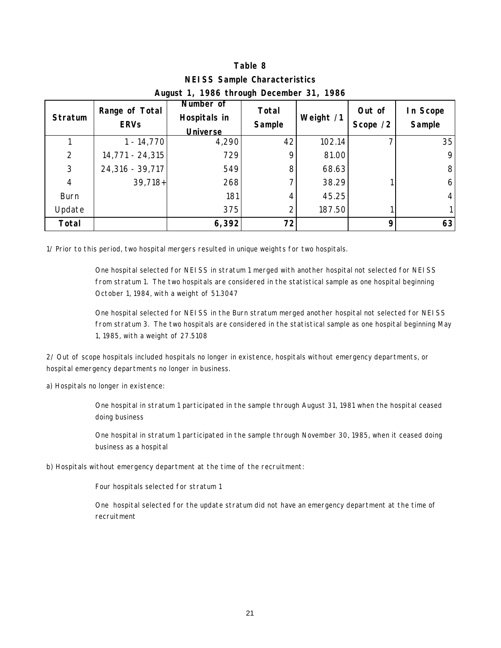| <b>NEISS Sample Characteristics</b> |                |
|-------------------------------------|----------------|
| L 4 400/ thus  December 04          | $\overline{a}$ |

| <b>Stratum</b> | Range of Total<br><b>ERVs</b> | Number of<br>Hospitals in<br><b>Universe</b> | <b>Total</b><br>Sample | Weight /1 | Out of<br>Scope /2 | In Scope<br>Sample |
|----------------|-------------------------------|----------------------------------------------|------------------------|-----------|--------------------|--------------------|
|                | $1 - 14,770$                  | 4,290                                        | 42                     | 102.14    |                    | 35                 |
| $\overline{2}$ | 14,771 - 24,315               | 729                                          | 9                      | 81.00     |                    | 9                  |
| 3              | 24,316 - 39,717               | 549                                          | 8                      | 68.63     |                    | 8                  |
| $\overline{4}$ | $39,718+$                     | 268                                          |                        | 38.29     |                    | 6                  |
| <b>Burn</b>    |                               | 181                                          | 4                      | 45.25     |                    | $\overline{4}$     |
| Update         |                               | 375                                          |                        | 187.50    |                    |                    |
| <b>Total</b>   |                               | 6,392                                        | 72                     |           |                    | 63                 |

#### **August 1, 1986 through December 31, 1986**

1/ Prior to this period, two hospital mergers resulted in unique weights for two hospitals.

One hospital selected for NEISS in stratum 1 merged with another hospital not selected for NEISS from stratum 1. The two hospitals are considered in the statistical sample as one hospital beginning October 1, 1984, with a weight of 51.3047

One hospital selected for NEISS in the Burn stratum merged another hospital not selected for NEISS from stratum 3. The two hospitals are considered in the statistical sample as one hospital beginning May 1, 1985, with a weight of 27.5108

2/ Out of scope hospitals included hospitals no longer in existence, hospitals without emergency departments, or hospital emergency departments no longer in business.

a) Hospitals no longer in existence:

One hospital in stratum 1 participated in the sample through August 31, 1981 when the hospital ceased doing business

One hospital in stratum 1 participated in the sample through November 30, 1985, when it ceased doing business as a hospital

b) Hospitals without emergency department at the time of the recruitment:

Four hospitals selected for stratum 1

One hospital selected for the update stratum did not have an emergency department at the time of recruitment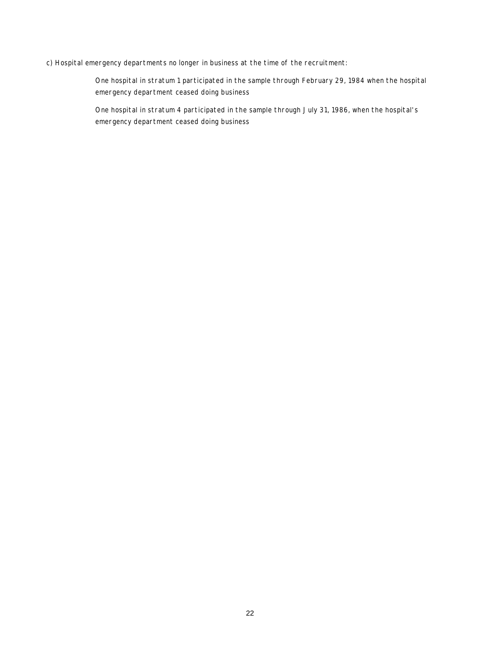#### c) Hospital emergency departments no longer in business at the time of the recruitment:

One hospital in stratum 1 participated in the sample through February 29, 1984 when the hospital emergency department ceased doing business

One hospital in stratum 4 participated in the sample through July 31, 1986, when the hospital's emergency department ceased doing business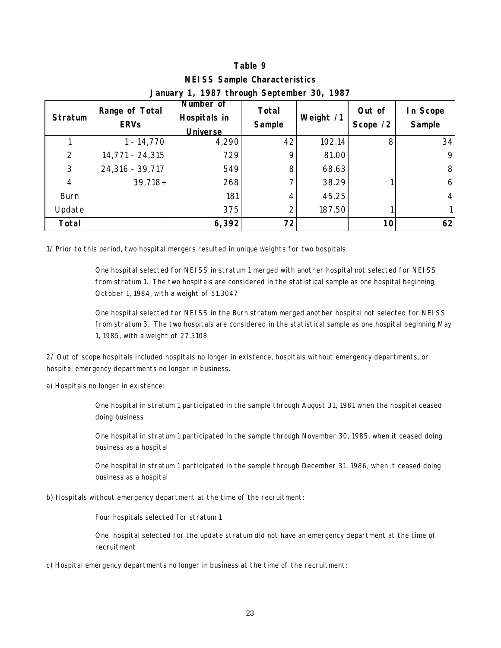| <b>NEISS Sample Characteristics</b>              |                |
|--------------------------------------------------|----------------|
| $1007$ $\mu$ $\sim$ $\mu$ $\sim$ $\mu$ $\sim$ 00 | $\overline{a}$ |

| <b>Stratum</b> | Number of<br>Range of Total<br>Hospitals in<br><b>ERVs</b><br><b>Universe</b> |       | <b>Total</b><br>Sample | Weight /1 | Out of<br>Scope /2 | In Scope<br>Sample |
|----------------|-------------------------------------------------------------------------------|-------|------------------------|-----------|--------------------|--------------------|
|                | $1 - 14,770$                                                                  | 4,290 | 42                     | 102.14    |                    | 34                 |
| 2              | 14,771 - 24,315                                                               | 729   | 9                      | 81.00     |                    | 9                  |
| 3              | 24,316 - 39,717                                                               | 549   | 8                      | 68.63     |                    | 8                  |
| $\overline{4}$ | $39,718+$                                                                     | 268   |                        | 38.29     |                    | 6                  |
| <b>Burn</b>    |                                                                               | 181   |                        | 45.25     |                    | 4                  |
| Update         |                                                                               | 375   |                        | 187.50    |                    |                    |
| <b>Total</b>   |                                                                               | 6,392 | 72                     |           | 10                 | 62                 |

### **January 1, 1987 through September 30, 1987**

1/ Prior to this period, two hospital mergers resulted in unique weights for two hospitals.

One hospital selected for NEISS in stratum 1 merged with another hospital not selected for NEISS from stratum 1. The two hospitals are considered in the statistical sample as one hospital beginning October 1, 1984, with a weight of 51.3047

One hospital selected for NEISS in the Burn stratum merged another hospital not selected for NEISS from stratum 3. The two hospitals are considered in the statistical sample as one hospital beginning May 1, 1985, with a weight of 27.5108

2/ Out of scope hospitals included hospitals no longer in existence, hospitals without emergency departments, or hospital emergency departments no longer in business.

a) Hospitals no longer in existence:

One hospital in stratum 1 participated in the sample through August 31, 1981 when the hospital ceased doing business

One hospital in stratum 1 participated in the sample through November 30, 1985, when it ceased doing business as a hospital

One hospital in stratum 1 participated in the sample through December 31, 1986, when it ceased doing business as a hospital

b) Hospitals without emergency department at the time of the recruitment:

Four hospitals selected for stratum 1

One hospital selected for the update stratum did not have an emergency department at the time of recruitment

c) Hospital emergency departments no longer in business at the time of the recruitment: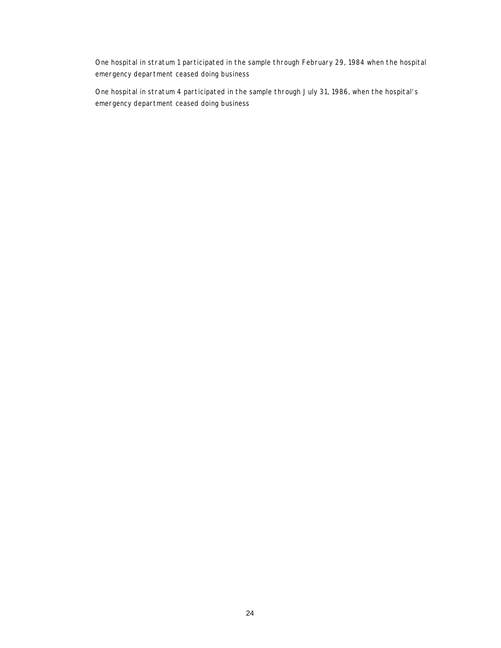One hospital in stratum 1 participated in the sample through February 29, 1984 when the hospital emergency department ceased doing business

One hospital in stratum 4 participated in the sample through July 31, 1986, when the hospital's emergency department ceased doing business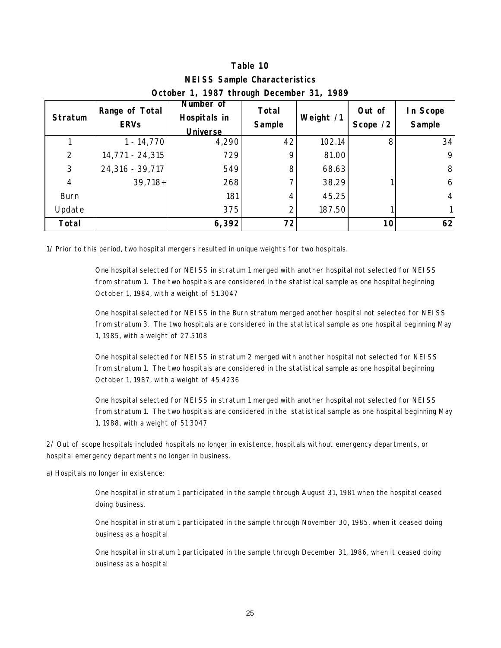| OCTODEL 1, 1707 THEORGE DECEMBER 31, 1707 |                                                                                                  |       |           |                    |                    |                |  |  |  |  |
|-------------------------------------------|--------------------------------------------------------------------------------------------------|-------|-----------|--------------------|--------------------|----------------|--|--|--|--|
| Stratum                                   | Number of<br>Range of Total<br>Total<br>Hospitals in<br><b>ERVs</b><br>Sample<br><b>Universe</b> |       | Weight /1 | Out of<br>Scope /2 | In Scope<br>Sample |                |  |  |  |  |
|                                           | $1 - 14,770$                                                                                     | 4,290 | 42        | 102.14             | 8                  | 34             |  |  |  |  |
| $\overline{2}$                            | 14,771 - 24,315                                                                                  | 729   |           | 81.00              |                    | 9              |  |  |  |  |
| 3                                         | 24,316 - 39,717                                                                                  | 549   | 8         | 68.63              |                    | 8 <sup>1</sup> |  |  |  |  |
| $\overline{4}$                            | $39,718+$                                                                                        | 268   |           | 38.29              |                    | $6 \mid$       |  |  |  |  |
| <b>Burn</b>                               |                                                                                                  | 181   |           | 45.25              |                    | 4 <sup>1</sup> |  |  |  |  |
| Update                                    |                                                                                                  | 375   |           | 187.50             |                    |                |  |  |  |  |
| Total                                     |                                                                                                  | 6,392 | 72        |                    | 10                 | 62             |  |  |  |  |

#### **NEISS Sample Characteristics October 1, 1987 through December 31, 1989**

1/ Prior to this period, two hospital mergers resulted in unique weights for two hospitals.

One hospital selected for NEISS in stratum 1 merged with another hospital not selected for NEISS from stratum 1. The two hospitals are considered in the statistical sample as one hospital beginning October 1, 1984, with a weight of 51.3047

One hospital selected for NEISS in the Burn stratum merged another hospital not selected for NEISS from stratum 3. The two hospitals are considered in the statistical sample as one hospital beginning May 1, 1985, with a weight of 27.5108

One hospital selected for NEISS in stratum 2 merged with another hospital not selected for NEISS from stratum 1. The two hospitals are considered in the statistical sample as one hospital beginning October 1, 1987, with a weight of 45.4236

One hospital selected for NEISS in stratum 1 merged with another hospital not selected for NEISS from stratum 1. The two hospitals are considered in the statistical sample as one hospital beginning May 1, 1988, with a weight of 51.3047

2/ Out of scope hospitals included hospitals no longer in existence, hospitals without emergency departments, or hospital emergency departments no longer in business.

a) Hospitals no longer in existence:

One hospital in stratum 1 participated in the sample through August 31, 1981 when the hospital ceased doing business.

One hospital in stratum 1 participated in the sample through November 30, 1985, when it ceased doing business as a hospital

One hospital in stratum 1 participated in the sample through December 31, 1986, when it ceased doing business as a hospital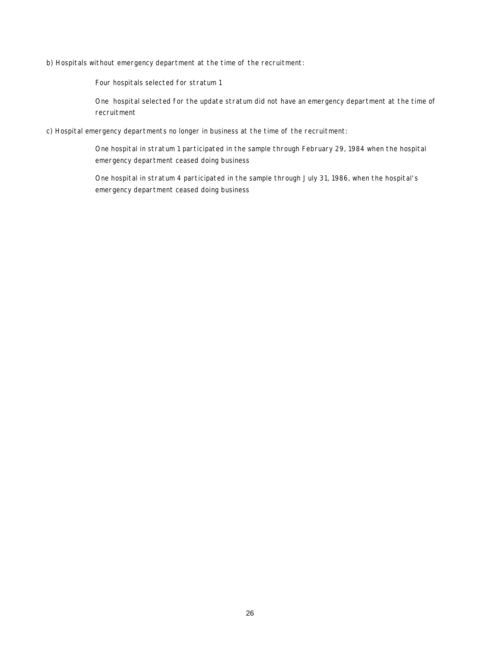b) Hospitals without emergency department at the time of the recruitment:

Four hospitals selected for stratum 1

One hospital selected for the update stratum did not have an emergency department at the time of recruitment

c) Hospital emergency departments no longer in business at the time of the recruitment:

One hospital in stratum 1 participated in the sample through February 29, 1984 when the hospital emergency department ceased doing business

One hospital in stratum 4 participated in the sample through July 31, 1986, when the hospital's emergency department ceased doing business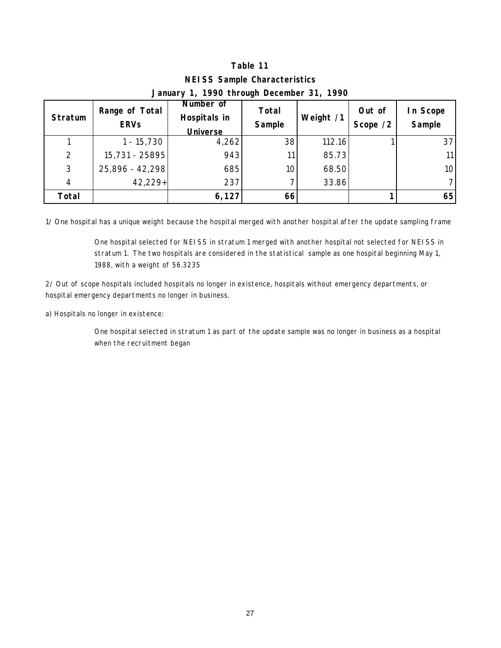| January 1, 1770 trirough December 31, 1770 |                               |                                              |                 |           |                    |                    |  |  |  |  |  |
|--------------------------------------------|-------------------------------|----------------------------------------------|-----------------|-----------|--------------------|--------------------|--|--|--|--|--|
| Stratum                                    | Range of Total<br><b>ERVs</b> | Number of<br>Hospitals in<br><b>Universe</b> | Total<br>Sample | Weight /1 | Out of<br>Scope /2 | In Scope<br>Sample |  |  |  |  |  |
|                                            | $1 - 15,730$                  | 4,262                                        | 38              | 112.16    |                    | 37                 |  |  |  |  |  |
| 2                                          | 15,731 - 25895                | 943                                          | 11              | 85.73     |                    | 11 <sup>1</sup>    |  |  |  |  |  |
| 3                                          | 25,896 - 42,298               | 685                                          | 10 <sub>1</sub> | 68.50     |                    | 10 <sup>1</sup>    |  |  |  |  |  |
| 4                                          | 42,229+                       | 237                                          |                 | 33.86     |                    |                    |  |  |  |  |  |
| Total                                      |                               | 6,127                                        | 66              |           |                    | 65                 |  |  |  |  |  |

### **NEISS Sample Characteristics January 1, 1990 through December 31, 1990**

1/ One hospital has a unique weight because the hospital merged with another hospital after the update sampling frame

One hospital selected for NEISS in stratum 1 merged with another hospital not selected for NEISS in stratum 1. The two hospitals are considered in the statistical sample as one hospital beginning May 1, 1988, with a weight of 56.3235

2/ Out of scope hospitals included hospitals no longer in existence, hospitals without emergency departments, or hospital emergency departments no longer in business.

a) Hospitals no longer in existence:

One hospital selected in stratum 1 as part of the update sample was no longer in business as a hospital when the recruitment began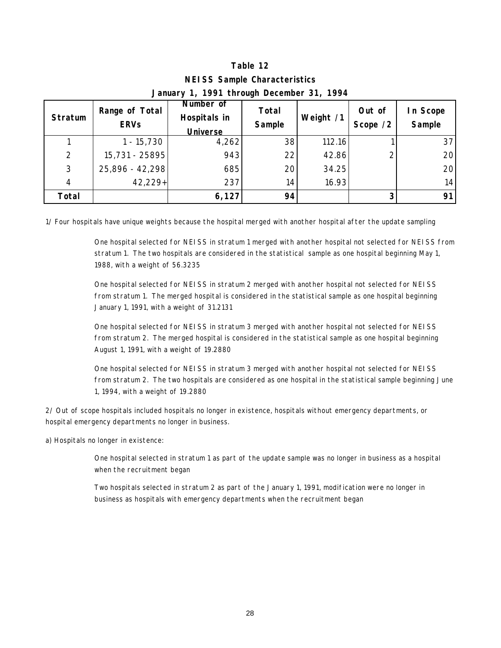| $J$ and $J$ is the control of $J$ is the control of $J$ is the control of $J$ is the control of $J$ is the control of $J$ is the control of $J$ is the control of $J$ is the control of $J$ is the control of $J$ is the cont |                               |                                              |                 |           |                    |                   |  |  |  |  |  |
|-------------------------------------------------------------------------------------------------------------------------------------------------------------------------------------------------------------------------------|-------------------------------|----------------------------------------------|-----------------|-----------|--------------------|-------------------|--|--|--|--|--|
| Stratum                                                                                                                                                                                                                       | Range of Total<br><b>ERVs</b> | Number of<br>Hospitals in<br><b>Universe</b> | Total<br>Sample | Weight /1 | Out of<br>Scope /2 | n Scope<br>Sample |  |  |  |  |  |
|                                                                                                                                                                                                                               | $1 - 15,730$                  | 4,262                                        | 38              | 112.16    |                    | 37                |  |  |  |  |  |
| 2                                                                                                                                                                                                                             | 15,731 - 25895                | 943                                          | 22              | 42.86     |                    | 20                |  |  |  |  |  |
| 3                                                                                                                                                                                                                             | 25,896 - 42,298               | 685                                          | 20              | 34.25     |                    | 20                |  |  |  |  |  |
| $\overline{4}$                                                                                                                                                                                                                | $42,229+$                     | 237                                          | 14              | 16.93     |                    | 14                |  |  |  |  |  |
| Total                                                                                                                                                                                                                         |                               | 6,127                                        | 94              |           |                    | 91                |  |  |  |  |  |

### **NEISS Sample Characteristics January 1, 1991 through December 31, 1994**

1/ Four hospitals have unique weights because the hospital merged with another hospital after the update sampling

One hospital selected for NEISS in stratum 1 merged with another hospital not selected for NEISS from stratum 1. The two hospitals are considered in the statistical sample as one hospital beginning May 1, 1988, with a weight of 56.3235

One hospital selected for NEISS in stratum 2 merged with another hospital not selected for NEISS from stratum 1. The merged hospital is considered in the statistical sample as one hospital beginning January 1, 1991, with a weight of 31.2131

One hospital selected for NEISS in stratum 3 merged with another hospital not selected for NEISS from stratum 2. The merged hospital is considered in the statistical sample as one hospital beginning August 1, 1991, with a weight of 19.2880

One hospital selected for NEISS in stratum 3 merged with another hospital not selected for NEISS from stratum 2. The two hospitals are considered as one hospital in the statistical sample beginning June 1, 1994, with a weight of 19.2880

2/ Out of scope hospitals included hospitals no longer in existence, hospitals without emergency departments, or hospital emergency departments no longer in business.

a) Hospitals no longer in existence:

One hospital selected in stratum 1 as part of the update sample was no longer in business as a hospital when the recruitment began

Two hospitals selected in stratum 2 as part of the January 1, 1991, modification were no longer in business as hospitals with emergency departments when the recruitment began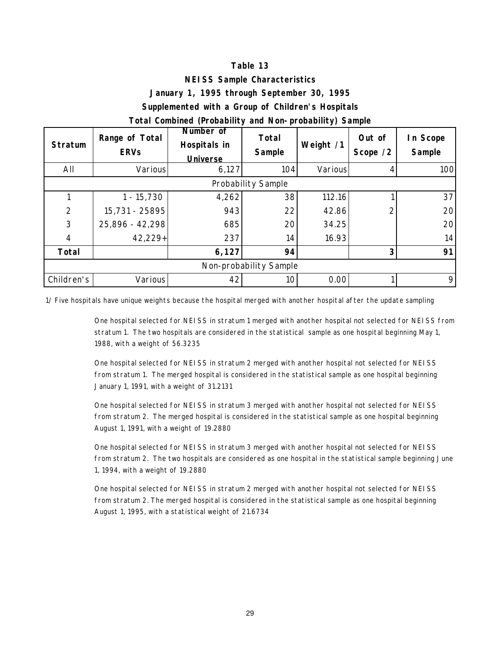#### **NEISS Sample Characteristics**

#### **January 1, 1995 through September 30, 1995**

#### **Supplemented with a Group of Children's Hospitals**

#### **Total Combined (Probability and Non-probability) Sample**

| <b>Stratum</b> | Range of Total<br><b>ERVs</b> | Number of<br>Total<br>Hospitals in<br>Sample<br><b>Universe</b> |     | Weight /1 | Out of<br>Scope /2 | In Scope<br>Sample |  |  |  |  |  |  |
|----------------|-------------------------------|-----------------------------------------------------------------|-----|-----------|--------------------|--------------------|--|--|--|--|--|--|
| All            | Various                       | 6,127                                                           | 104 | Various   |                    | 100                |  |  |  |  |  |  |
|                | Probability Sample            |                                                                 |     |           |                    |                    |  |  |  |  |  |  |
|                | $1 - 15,730$                  | 4,262                                                           | 38  | 112.16    |                    | 37                 |  |  |  |  |  |  |
| $\overline{2}$ | 15,731 - 25895                | 943                                                             | 22  | 42.86     |                    | 20                 |  |  |  |  |  |  |
| 3              | 25,896 - 42,298               | 685                                                             | 20  | 34.25     |                    | 20 <sup>1</sup>    |  |  |  |  |  |  |
| 4              | $42,229+$                     | 237                                                             | 14  | 16.93     |                    | 14                 |  |  |  |  |  |  |
| Total          |                               | 6,127                                                           | 94  |           | 3                  | 91                 |  |  |  |  |  |  |
|                | Non-probability Sample        |                                                                 |     |           |                    |                    |  |  |  |  |  |  |
| Children's     | Various                       | 42                                                              | 10  | 0.00      |                    | 9                  |  |  |  |  |  |  |

1/ Five hospitals have unique weights because the hospital merged with another hospital after the update sampling

One hospital selected for NEISS in stratum 1 merged with another hospital not selected for NEISS from stratum 1. The two hospitals are considered in the statistical sample as one hospital beginning May 1, 1988, with a weight of 56.3235

One hospital selected for NEISS in stratum 2 merged with another hospital not selected for NEISS from stratum 1. The merged hospital is considered in the statistical sample as one hospital beginning January 1, 1991, with a weight of 31.2131

One hospital selected for NEISS in stratum 3 merged with another hospital not selected for NEISS from stratum 2. The merged hospital is considered in the statistical sample as one hospital beginning August 1, 1991, with a weight of 19.2880

One hospital selected for NEISS in stratum 3 merged with another hospital not selected for NEISS from stratum 2. The two hospitals are considered as one hospital in the statistical sample beginning June 1, 1994, with a weight of 19.2880

One hospital selected for NEISS in stratum 2 merged with another hospital not selected for NEISS from stratum 2. The merged hospital is considered in the statistical sample as one hospital beginning August 1, 1995, with a statistical weight of 21.6734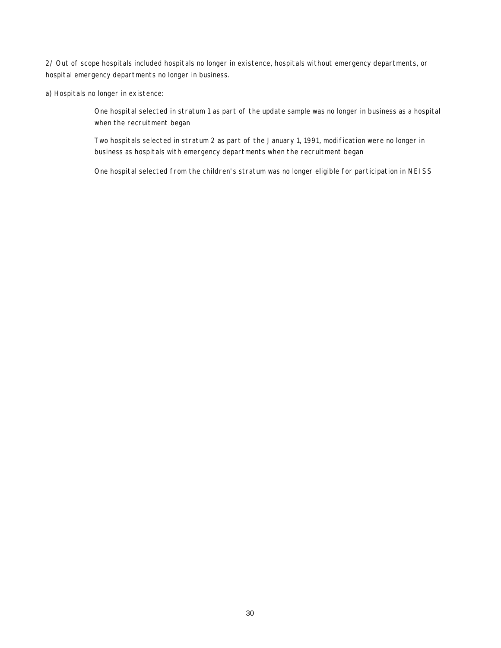2/ Out of scope hospitals included hospitals no longer in existence, hospitals without emergency departments, or hospital emergency departments no longer in business.

a) Hospitals no longer in existence:

One hospital selected in stratum 1 as part of the update sample was no longer in business as a hospital when the recruitment began

Two hospitals selected in stratum 2 as part of the January 1, 1991, modification were no longer in business as hospitals with emergency departments when the recruitment began

One hospital selected from the children's stratum was no longer eligible for participation in NEISS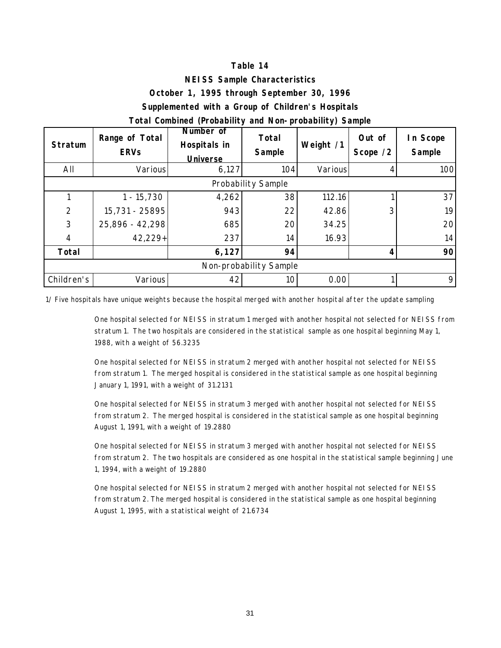#### **NEISS Sample Characteristics**

#### **October 1, 1995 through September 30, 1996**

#### **Supplemented with a Group of Children's Hospitals**

#### **Total Combined (Probability and Non-probability) Sample**

| <b>Stratum</b> | Range of Total<br><b>ERVs</b> | Number of<br>Hospitals in<br><b>Universe</b> | <b>Total</b><br>Sample | Weight /1 | Out of<br>Scope /2 | In Scope<br>Sample |  |  |  |  |  |  |
|----------------|-------------------------------|----------------------------------------------|------------------------|-----------|--------------------|--------------------|--|--|--|--|--|--|
| All            | Various                       | 6,127                                        | 104                    | Various   |                    | 100                |  |  |  |  |  |  |
|                | Probability Sample            |                                              |                        |           |                    |                    |  |  |  |  |  |  |
|                | $1 - 15,730$                  | 4,262                                        | 38                     | 112.16    |                    | 37                 |  |  |  |  |  |  |
| $\overline{2}$ | 15,731 - 25895                | 943                                          | 22                     | 42.86     | 3                  | 19                 |  |  |  |  |  |  |
| 3              | 25,896 - 42,298               | 685                                          | 20                     | 34.25     |                    | 20 <sup>1</sup>    |  |  |  |  |  |  |
| $\overline{4}$ | 42,229+                       | 237                                          | 14                     | 16.93     |                    | 14                 |  |  |  |  |  |  |
| Total          |                               | 6,127                                        | 94                     |           |                    | 90                 |  |  |  |  |  |  |
|                | Non-probability Sample        |                                              |                        |           |                    |                    |  |  |  |  |  |  |
| Children's     | Various                       | 42                                           | 10                     | 0.00      |                    | 9                  |  |  |  |  |  |  |

1/ Five hospitals have unique weights because the hospital merged with another hospital after the update sampling

One hospital selected for NEISS in stratum 1 merged with another hospital not selected for NEISS from stratum 1. The two hospitals are considered in the statistical sample as one hospital beginning May 1, 1988, with a weight of 56.3235

One hospital selected for NEISS in stratum 2 merged with another hospital not selected for NEISS from stratum 1. The merged hospital is considered in the statistical sample as one hospital beginning January 1, 1991, with a weight of 31.2131

One hospital selected for NEISS in stratum 3 merged with another hospital not selected for NEISS from stratum 2. The merged hospital is considered in the statistical sample as one hospital beginning August 1, 1991, with a weight of 19.2880

One hospital selected for NEISS in stratum 3 merged with another hospital not selected for NEISS from stratum 2. The two hospitals are considered as one hospital in the statistical sample beginning June 1, 1994, with a weight of 19.2880

One hospital selected for NEISS in stratum 2 merged with another hospital not selected for NEISS from stratum 2. The merged hospital is considered in the statistical sample as one hospital beginning August 1, 1995, with a statistical weight of 21.6734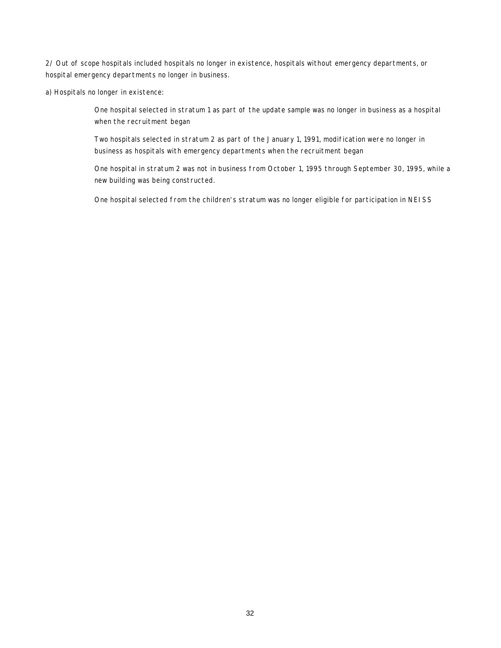2/ Out of scope hospitals included hospitals no longer in existence, hospitals without emergency departments, or hospital emergency departments no longer in business.

a) Hospitals no longer in existence:

One hospital selected in stratum 1 as part of the update sample was no longer in business as a hospital when the recruitment began

Two hospitals selected in stratum 2 as part of the January 1, 1991, modification were no longer in business as hospitals with emergency departments when the recruitment began

One hospital in stratum 2 was not in business from October 1, 1995 through September 30, 1995, while a new building was being constructed.

One hospital selected from the children's stratum was no longer eligible for participation in NEISS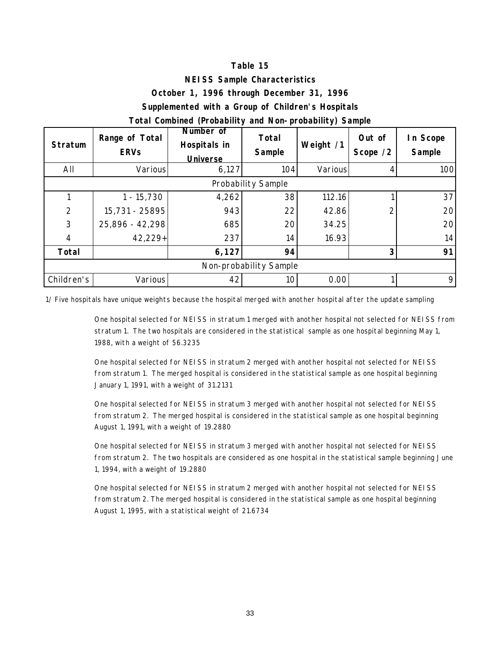#### **NEISS Sample Characteristics**

#### **October 1, 1996 through December 31, 1996**

#### **Supplemented with a Group of Children's Hospitals**

#### **Total Combined (Probability and Non-probability) Sample**

| Range of Total<br><b>Stratum</b><br><b>ERVs</b> |                 | Number of<br>Hospitals in<br><b>Universe</b> | <b>Total</b><br>Sample | Weight /1 | Out of<br>Scope /2 | In Scope<br>Sample |  |  |  |  |  |
|-------------------------------------------------|-----------------|----------------------------------------------|------------------------|-----------|--------------------|--------------------|--|--|--|--|--|
| All                                             | Various         | 6,127                                        | 104                    | Various   |                    | 100                |  |  |  |  |  |
| Probability Sample                              |                 |                                              |                        |           |                    |                    |  |  |  |  |  |
|                                                 | $1 - 15,730$    | 4,262                                        | 38                     | 112.16    |                    | 37                 |  |  |  |  |  |
| $\overline{2}$                                  | 15,731 - 25895  | 943                                          | 22                     | 42.86     |                    | 20 <sup>1</sup>    |  |  |  |  |  |
| 3                                               | 25,896 - 42,298 | 685                                          | 20                     | 34.25     |                    | 20 <sup>1</sup>    |  |  |  |  |  |
| $\overline{4}$                                  | 42,229+         | 237                                          | 14                     | 16.93     |                    | 14                 |  |  |  |  |  |
| Total                                           |                 | 6,127                                        | 94                     |           | 3                  | 91                 |  |  |  |  |  |
| Non-probability Sample                          |                 |                                              |                        |           |                    |                    |  |  |  |  |  |
| Children's                                      | Various         | 42                                           | 10                     | 0.00      |                    | 9                  |  |  |  |  |  |

1/ Five hospitals have unique weights because the hospital merged with another hospital after the update sampling

One hospital selected for NEISS in stratum 1 merged with another hospital not selected for NEISS from stratum 1. The two hospitals are considered in the statistical sample as one hospital beginning May 1, 1988, with a weight of 56.3235

One hospital selected for NEISS in stratum 2 merged with another hospital not selected for NEISS from stratum 1. The merged hospital is considered in the statistical sample as one hospital beginning January 1, 1991, with a weight of 31.2131

One hospital selected for NEISS in stratum 3 merged with another hospital not selected for NEISS from stratum 2. The merged hospital is considered in the statistical sample as one hospital beginning August 1, 1991, with a weight of 19.2880

One hospital selected for NEISS in stratum 3 merged with another hospital not selected for NEISS from stratum 2. The two hospitals are considered as one hospital in the statistical sample beginning June 1, 1994, with a weight of 19.2880

One hospital selected for NEISS in stratum 2 merged with another hospital not selected for NEISS from stratum 2. The merged hospital is considered in the statistical sample as one hospital beginning August 1, 1995, with a statistical weight of 21.6734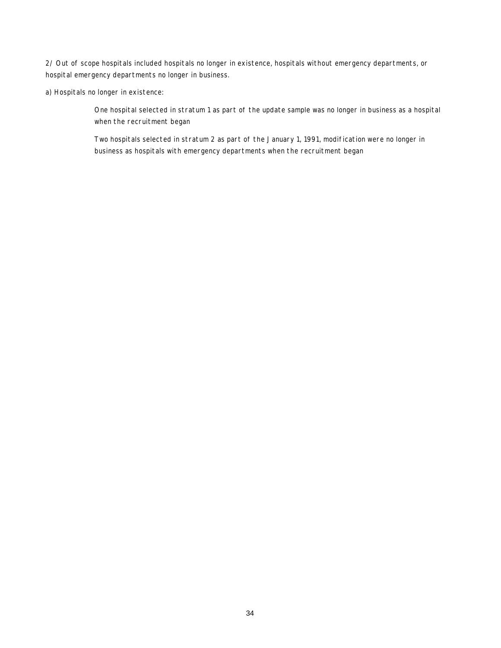2/ Out of scope hospitals included hospitals no longer in existence, hospitals without emergency departments, or hospital emergency departments no longer in business.

a) Hospitals no longer in existence:

One hospital selected in stratum 1 as part of the update sample was no longer in business as a hospital when the recruitment began

Two hospitals selected in stratum 2 as part of the January 1, 1991, modification were no longer in business as hospitals with emergency departments when the recruitment began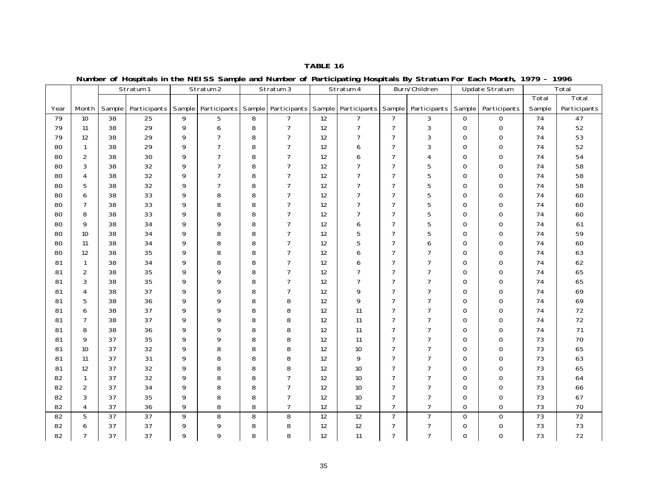|      |                |                 | Stratum 1                        |                | Stratum 2      |   | Stratum 3      |                   | ้ง<br>. <b>.</b><br>Stratum 4                 |                | Burn/Children       |                | <b>Update Stratum</b> |        | Total        |
|------|----------------|-----------------|----------------------------------|----------------|----------------|---|----------------|-------------------|-----------------------------------------------|----------------|---------------------|----------------|-----------------------|--------|--------------|
|      |                |                 |                                  |                |                |   |                |                   |                                               |                |                     |                |                       | Total  | Total        |
| Year | Month          | Sample          | Participants Sample Participants |                |                |   |                |                   | Sample   Participants   Sample   Participants | Sample         | Participants Sample |                | Participants          | Sample | Participants |
| 79   | 10             | 38              | $\overline{25}$                  | 9              | 5              | 8 | $\overline{7}$ | 12                | $\overline{7}$                                | $\overline{7}$ | 3                   | $\mathbf 0$    | $\mathbf{0}$          | 74     | 47           |
| 79   | 11             | 38              | 29                               | 9              | 6              | 8 | $\overline{7}$ | 12                | $\overline{7}$                                | $\overline{7}$ | 3                   | $\mathbf 0$    | 0                     | 74     | 52           |
| 79   | 12             | 38              | 29                               | 9              | $\overline{7}$ | 8 | $\overline{7}$ | 12                | $\overline{7}$                                | $\overline{7}$ | 3                   | $\mathbf 0$    | $\mathbf 0$           | 74     | 53           |
| 80   | $\mathbf{1}$   | 38              | 29                               | 9              | $\overline{7}$ | 8 | $\overline{7}$ | 12                | 6                                             | $\overline{7}$ | 3                   | $\mathbf 0$    | $\mathbf 0$           | 74     | 52           |
| 80   | 2              | 38              | 30                               | 9              | $\overline{7}$ | 8 | $\overline{7}$ | 12                | 6                                             | $\overline{7}$ | $\overline{4}$      | $\mathbf{O}$   | $\Omega$              | 74     | 54           |
| 80   | 3              | 38              | 32                               | 9              | $\overline{7}$ | 8 | 7              | 12                | $\overline{7}$                                | $\overline{7}$ | 5                   | 0              | $\mathbf 0$           | 74     | 58           |
| 80   | $\overline{4}$ | 38              | 32                               | 9              | $\overline{7}$ | 8 | $\overline{7}$ | 12                | $\overline{7}$                                | $\overline{7}$ | 5                   | 0              | $\Omega$              | 74     | 58           |
| 80   | 5              | 38              | 32                               | 9              | $\overline{7}$ | 8 | 7              | 12                | $\overline{7}$                                | $\overline{7}$ | 5                   | 0              | $\mathbf 0$           | 74     | 58           |
| 80   | 6              | 38              | 33                               | 9              | 8              | 8 | $\overline{7}$ | 12                | $\overline{7}$                                | $\overline{7}$ | 5                   | 0              | $\Omega$              | 74     | 60           |
| 80   | $\overline{7}$ | 38              | 33                               | 9              | 8              | 8 | $\overline{7}$ | 12                | $\overline{7}$                                | $\overline{7}$ | 5                   | 0              | $\mathbf 0$           | 74     | 60           |
| 80   | 8              | 38              | 33                               | 9              | 8              | 8 | $\overline{7}$ | 12                | $\overline{7}$                                | $\overline{7}$ | 5                   | 0              | $\Omega$              | 74     | 60           |
| 80   | 9              | 38              | 34                               | 9              | 9              | 8 | $\overline{7}$ | 12                | 6                                             | $\overline{7}$ | 5                   | 0              | $\Omega$              | 74     | 61           |
| 80   | 10             | 38              | 34                               | 9              | 8              | 8 | $\overline{7}$ | 12                | 5                                             | $\overline{7}$ | 5                   | 0              | $\mathbf 0$           | 74     | 59           |
| 80   | 11             | 38              | 34                               | 9              | 8              | 8 | $\overline{7}$ | 12                | 5                                             | $\overline{7}$ | 6                   | 0              | 0                     | 74     | 60           |
| 80   | 12             | 38              | 35                               | 9              | 8              | 8 | $\overline{7}$ | 12                | 6                                             | $\overline{7}$ | $\overline{7}$      | 0              | $\mathbf 0$           | 74     | 63           |
| 81   | $\mathbf{1}$   | 38              | 34                               | 9              | 8              | 8 | $\overline{7}$ | 12                | 6                                             | $\overline{7}$ | $\overline{7}$      | $\mathbf 0$    | $\Omega$              | 74     | 62           |
| 81   | $\overline{2}$ | 38              | 35                               | 9              | 9              | 8 | $\overline{7}$ | $12 \overline{ }$ | 7                                             | $\overline{7}$ | $\overline{7}$      | 0              | $\mathbf 0$           | 74     | 65           |
| 81   | 3              | 38              | 35                               | 9              | 9              | 8 | $\overline{7}$ | 12                | $\overline{7}$                                | $\overline{7}$ | $\overline{7}$      | 0              | $\Omega$              | 74     | 65           |
| 81   | $\overline{4}$ | 38              | 37                               | 9              | 9              | 8 | $\overline{7}$ | 12                | 9                                             | $\overline{7}$ | $\overline{7}$      | 0              | $\mathbf 0$           | 74     | 69           |
| 81   | 5              | 38              | 36                               | 9              | 9              | 8 | 8              | 12                | 9                                             | $\overline{7}$ | $\overline{7}$      | $\mathbf 0$    | $\Omega$              | 74     | 69           |
| 81   | 6              | 38              | 37                               | 9              | 9              | 8 | 8              | 12                | 11                                            | $\overline{7}$ | $\overline{7}$      | 0              | $\mathbf 0$           | 74     | 72           |
| 81   | $\overline{7}$ | 38              | 37                               | 9              | 9              | 8 | 8              | 12                | 11                                            | $\overline{7}$ | $\overline{7}$      | $\mathbf 0$    | $\mathbf 0$           | 74     | 72           |
| 81   | 8              | 38              | 36                               | 9              | 9              | 8 | 8              | 12                | 11                                            | $\overline{7}$ | $\overline{7}$      | 0              | $\mathbf 0$           | 74     | 71           |
| 81   | 9              | 37              | 35                               | 9              | 9              | 8 | 8              | 12                | 11                                            | $\overline{7}$ | $\overline{7}$      | $\overline{0}$ | $\overline{0}$        | 73     | 70           |
| 81   | 10             | 37              | 32                               | 9              | 8              | 8 | 8              | 12                | $10$                                          | 7              | $\overline{7}$      | 0              | $\mathbf 0$           | 73     | 65           |
| 81   | 11             | 37              | 31                               | 9              | 8              | 8 | 8              | 12                | 9                                             | $\overline{7}$ | $\overline{7}$      | $\mathbf 0$    | $\mathbf 0$           | 73     | 63           |
| 81   | 12             | 37              | 32                               | 9              | 8              | 8 | 8              | 12                | 10                                            | $\overline{7}$ | $\overline{7}$      | $\mathbf 0$    | $\Omega$              | 73     | 65           |
| 82   | $\mathbf{1}$   | 37              | 32                               | 9              | 8              | 8 | $\overline{7}$ | 12                | 10                                            | $\overline{7}$ | $\overline{7}$      | 0              | $\mathbf 0$           | 73     | 64           |
| 82   | 2              | 37              | 34                               | 9              | 8              | 8 | $\overline{7}$ | 12                | 10                                            | $\overline{7}$ | $\overline{7}$      | $\mathbf 0$    | $\Omega$              | 73     | 66           |
| 82   | 3              | 37              | 35                               | 9              | 8              | 8 | $\overline{7}$ | 12                | 10                                            | $\overline{7}$ | $\overline{7}$      | $\mathbf 0$    | $\mathbf 0$           | 73     | 67           |
| 82   | $\overline{4}$ | 37              | 36                               | 9              | 8              | 8 | $\overline{7}$ | 12                | 12                                            | $\overline{7}$ | $\overline{7}$      | $\mathbf 0$    | $\Omega$              | 73     | 70           |
| 82   | 5              | $\overline{37}$ | 37                               | $\overline{9}$ | 8              | 8 | 8              | $\overline{12}$   | 12                                            | $\overline{7}$ | $\overline{7}$      | $\mathbf 0$    | $\mathbf 0$           | 73     | 72           |
| 82   | 6              | 37              | 37                               | 9              | 9              | 8 | 8              | 12                | 12                                            | 7              | 7                   | 0              | $\mathbf 0$           | 73     | 73           |
| 82   | $\overline{7}$ | 37              | 37                               | 9              | 9              | 8 | 8              | 12                | 11                                            | $\overline{7}$ | $\overline{7}$      | 0              | $\mathbf 0$           | 73     | 72           |

**Number of Hospitals in the NEISS Sample and Number of Participating Hospitals By Stratum For Each Month, 1979 - 1996**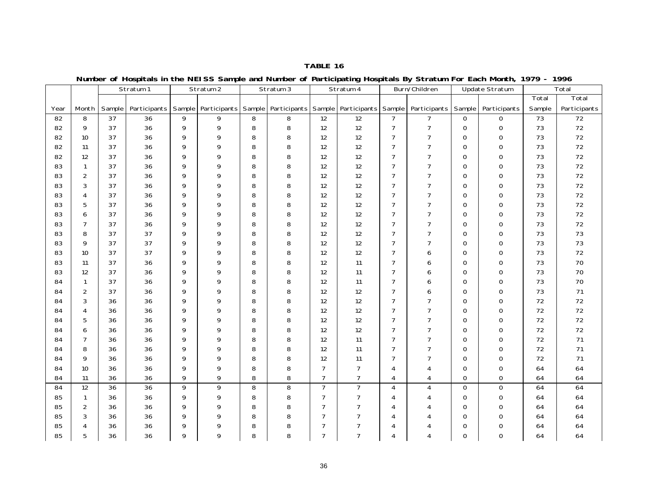Sample Participants Sample Participants Sample Participants Sample Participants Sample Participants Sample Participants Total Sample Total Participants Stratum 2 | Stratum 3 | Stratum 4 Burn/Children | Update Stratum | Total Year Month Stratum 182 | 8 | 37 | 36 | 9 | 9 | 8 | 8 | 12 | 12 | 7 | 7 | 0 | 0 | 73 | 72 82 | 9 | 37 | 36 | 9 | 9 | 8 | 8 | 12 | 12 | 7 | 7 | 0 | 0 | 73 | 72 82 10 37 1 36 1 9 1 9 1 8 1 8 1 12 1 2 1 7 1 7 1 0 1 0 1 73 1 72 82 11 1 37 1 36 1 9 1 9 1 8 1 8 1 12 1 2 1 7 1 7 1 0 1 0 1 73 1 72 82 12 137 1 36 1 9 1 9 1 8 1 8 1 12 1 2 1 7 1 7 1 0 1 0 1 73 1 72 83 | 1 | 37 | 36 | 9 | 9 | 8 | 8 | 12 | 12 | 7 | 7 | 0 | 0 | 73 | 72 72 83 | 2 | 37 | 36 | 9 | 9 | 8 | 8 | 12 | 12 | 7 | 7 | 0 | 0 | 73 | 72 83 1 3 1 37 1 36 1 9 1 9 1 8 1 8 1 12 1 2 1 7 1 7 1 0 1 0 1 73 1 72 83 | 4 | 37 | 36 | 9 | 9 | 8 | 8 | 12 | 12 | 7 | 7 | 0 | 0 | 73 | 72 83 | 5 | 37 | 36 | 9 | 9 | 8 | 8 | 12 | 12 | 7 | 7 | 0 | 0 | 73 | 72 83 16 137 1 36 19 19 18 18 12 12 12 17 17 10 10 173 172 83 | 7 | 37 | 36 | 9 | 9 | 8 | 8 | 12 | 12 | 7 | 7 | 0 | 0 | 73 | 72 83 | 8 | 37 | 37 | 9 | 9 | 8 | 8 | 12 | 12 | 7 | 7 | 0 | 0 | 73 | 73 83 1 9 1 37 1 9 1 9 1 8 1 8 1 12 1 7 1 7 1 0 1 0 1 73 1 73 83 1 10 1 37 1 37 1 9 1 9 1 8 1 8 1 12 1 2 1 7 1 6 1 0 1 0 1 73 1 72 83 1 11 1 37 1 36 1 9 1 9 1 8 1 8 1 12 1 11 1 7 1 6 1 0 1 0 1 73 1 70 70 83 12 37 1 36 1 9 1 9 1 8 1 8 1 12 1 11 1 7 1 6 1 0 1 0 1 73 1 70 84 | 1 | 37 | 36 | 9 | 9 | 8 | 8 | 12 | 11 | 7 | 6 | 0 | 0 | 73 | 70 84 1 2 1 37 1 36 1 9 1 9 1 8 1 8 1 12 1 12 1 7 1 6 1 0 1 0 1 73 1 71 71 84 3 36 36 9 9 9 8 8 30 31 32 32 33 84 | 4 | 36 | 36 | 9 | 9 | 8 | 8 | 12 | 12 | 7 | 7 | 0 | 0 | 72 | 72 84 | 5 | 36 | 36 | 9 | 9 | 8 | 8 | 12 | 7 | 7 | 7 | 0 | 0 | 72 | 72 84 | 6 | 36 | 36 | 9 | 9 | 8 | 8 | 12 | 12 | 7 | 7 | 0 | 0 | 72 | 72 84 | 7 | 36 | 36 | 9 | 9 | 8 | 8 | 12 | 11 | 7 | 7 | 0 | 0 | 72 | 71 71 84 | 8 | 36 | 36 | 9 | 9 | 8 | 8 | 12 | 11 | 7 | 7 | 0 | 0 | 72 | 71 84 | 9 | 36 | 36 | 9 | 9 | 8 | 8 | 12 | 11 | 7 | 7 | 0 | 0 | 72 | 71 84 10 36 36 9 9 8 8 8 7 7 7 4 4 4 0 0 64 64 84 11 36 36 9 9 8 8 8 7 7 7 4 4 4 0 0 64 64 84 12 36 36 9 9 9 8 8 8 7 7 7 4 4 4 0 0 64 64 85 | 1 | 36 | 36 | 9 | 9 | 8 | 8 | 7 | 7 | 4 | 4 | 0 | 0 | 64 | 64 85 | 2 | 36 | 36 | 9 | 9 | 8 | 8 | 7 | 7 | 4 | 4 | 0 | 0 | 64 | 64 85 | 3 | 36 | 36 | 9 | 9 | 8 | 8 | 7 | 7 | 4 | 4 | 0 | 0 | 64 | 64 64 85 | 4 | 36 | 36 | 9 | 9 | 8 | 8 | 7 | 7 | 4 | 4 | 0 | 0 | 64 | 64 85 | 5 | 36 | 36 | 9 | 9 | 8 | 8 | 7 | 7 | 4 | 4 | 0 | 0 | 64 | 64

**Number of Hospitals in the NEISS Sample and Number of Participating Hospitals By Stratum For Each Month, 1979 - 1996**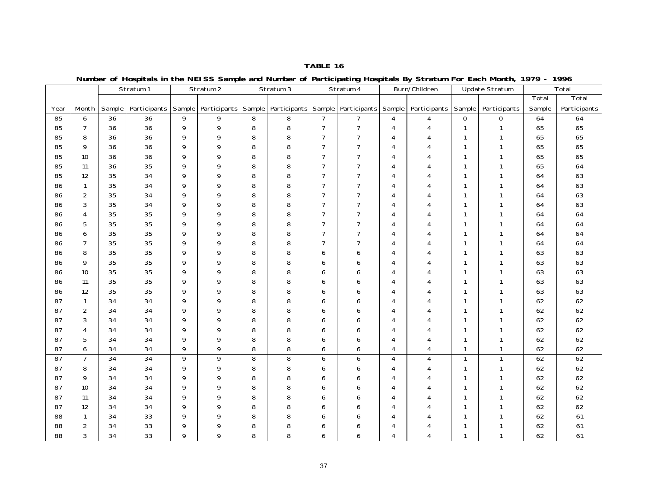|      |                 |        |                 |   |                                      |   |                     |                | J<br>. <b>.</b>     |                |                |              |                |        |              |
|------|-----------------|--------|-----------------|---|--------------------------------------|---|---------------------|----------------|---------------------|----------------|----------------|--------------|----------------|--------|--------------|
|      |                 |        | Stratum 1       |   | Stratum 2                            |   | Stratum 3           |                | Stratum 4           |                | Burn/Children  |              | Update Stratum |        | Total        |
|      |                 |        |                 |   |                                      |   |                     |                |                     |                |                |              |                | Total  | Total        |
| Year | Month           | Sample |                 |   | Participants   Sample   Participants |   | Sample Participants |                | Sample Participants | Sample         | Participants   | Sample       | Participants   | Sample | Participants |
| 85   | 6               | 36     | 36              | 9 | 9                                    | 8 | 8                   | $\overline{7}$ | $\overline{7}$      | 4              | $\overline{4}$ | $\mathbf 0$  | $\mathbf 0$    | 64     | 64           |
| 85   | $\overline{7}$  | 36     | 36              | 9 | 9                                    | 8 | 8                   | $\overline{7}$ | $\overline{7}$      | $\overline{4}$ | 4              | $\mathbf{1}$ | $\mathbf{1}$   | 65     | 65           |
| 85   | 8               | 36     | 36              | 9 | 9                                    | 8 | 8                   | $\overline{7}$ | 7                   | $\overline{4}$ | 4              | $\mathbf{1}$ | $\mathbf{1}$   | 65     | 65           |
| 85   | 9               | 36     | 36              | 9 | 9                                    | 8 | 8                   | $\overline{7}$ | $\overline{7}$      | 4              | $\overline{4}$ | $\mathbf{1}$ | $\mathbf{1}$   | 65     | 65           |
| 85   | 10              | 36     | 36              | 9 | 9                                    | 8 | 8                   | $\overline{7}$ | $\overline{7}$      | 4              | 4              | $\mathbf{1}$ | $\mathbf{1}$   | 65     | 65           |
| 85   | 11              | 36     | 35              | 9 | 9                                    | 8 | 8                   | $\overline{7}$ | 7                   | 4              | 4              | $\mathbf{1}$ | $\mathbf{1}$   | 65     | 64           |
| 85   | 12              | 35     | 34              | 9 | 9                                    | 8 | 8                   | $\overline{7}$ | $\overline{7}$      | 4              | 4              | $\mathbf{1}$ | $\mathbf{1}$   | 64     | 63           |
| 86   | $\mathbf{1}$    | 35     | 34              | 9 | 9                                    | 8 | 8                   | $\overline{7}$ | $\overline{7}$      | $\overline{4}$ | 4              | $\mathbf{1}$ | 1              | 64     | 63           |
| 86   | $\overline{2}$  | 35     | 34              | 9 | 9                                    | 8 | 8                   | $\overline{7}$ | $\overline{7}$      | $\overline{4}$ | $\overline{4}$ | $\mathbf{1}$ | $\mathbf{1}$   | 64     | 63           |
| 86   | 3               | 35     | 34              | 9 | 9                                    | 8 | 8                   | $\overline{7}$ | $\overline{7}$      | $\overline{4}$ | $\overline{4}$ | $\mathbf{1}$ | $\mathbf{1}$   | 64     | 63           |
| 86   | 4               | 35     | 35              | 9 | 9                                    | 8 | 8                   | $\overline{7}$ | $\overline{7}$      | 4              | 4              | $\mathbf{1}$ | $\mathbf{1}$   | 64     | 64           |
| 86   | 5               | 35     | 35              | 9 | 9                                    | 8 | 8                   | $\overline{7}$ | $\overline{7}$      | 4              | 4              | $\mathbf{1}$ | $\mathbf{1}$   | 64     | 64           |
| 86   | 6               | 35     | 35              | 9 | 9                                    | 8 | 8                   | $\overline{7}$ | $\overline{7}$      | $\overline{4}$ | 4              | $\mathbf{1}$ | 1              | 64     | 64           |
| 86   | $\overline{7}$  | 35     | 35              | 9 | 9                                    | 8 | 8                   | $\overline{7}$ | $\overline{7}$      | 4              | 4              | $\mathbf{1}$ | $\mathbf{1}$   | 64     | 64           |
| 86   | 8               | 35     | 35              | 9 | 9                                    | 8 | 8                   | 6              | 6                   | $\overline{4}$ | $\overline{4}$ | $\mathbf{1}$ | $\mathbf{1}$   | 63     | 63           |
| 86   | 9               | 35     | 35              | 9 | 9                                    | 8 | 8                   | 6              | 6                   | 4              | 4              | $\mathbf{1}$ | 1              | 63     | 63           |
| 86   | 10 <sup>1</sup> | 35     | 35              | 9 | 9                                    | 8 | 8                   | 6              | 6                   | 4              | 4              | $\mathbf{1}$ | $\mathbf{1}$   | 63     | 63           |
| 86   | 11              | 35     | 35              | 9 | 9                                    | 8 | 8                   | 6              | 6                   | 4              | 4              | $\mathbf{1}$ | $\mathbf{1}$   | 63     | 63           |
| 86   | 12              | 35     | 35              | 9 | 9                                    | 8 | 8                   | 6              | 6                   | 4              | $\overline{4}$ | $\mathbf{1}$ | $\mathbf{1}$   | 63     | 63           |
| 87   | $\mathbf{1}$    | 34     | 34              | 9 | 9                                    | 8 | 8                   | 6              | 6                   | $\overline{4}$ | $\overline{4}$ | $\mathbf{1}$ | $\mathbf{1}$   | 62     | 62           |
| 87   | $\overline{2}$  | 34     | 34              | 9 | 9                                    | 8 | 8                   | 6              | 6                   | 4              | 4              | $\mathbf{1}$ | $\mathbf{1}$   | 62     | 62           |
| 87   | 3               | 34     | 34              | 9 | 9                                    | 8 | 8                   | 6              | 6                   | $\overline{4}$ | 4              | $\mathbf{1}$ | $\mathbf{1}$   | 62     | 62           |
| 87   | $\overline{4}$  | 34     | 34              | 9 | 9                                    | 8 | 8                   | 6              | 6                   | $\overline{4}$ | 4              | $\mathbf{1}$ | $\mathbf{1}$   | 62     | 62           |
| 87   | 5               | 34     | 34              | 9 | 9                                    | 8 | 8                   | 6              | 6                   | $\overline{4}$ | 4              | $\mathbf{1}$ | $\mathbf{1}$   | 62     | 62           |
| 87   | 6               | 34     | 34              | 9 | 9                                    | 8 | 8                   | 6              | 6                   | $\overline{4}$ | $\overline{4}$ | $\mathbf{1}$ | $\mathbf{1}$   | 62     | 62           |
| 87   | $\overline{7}$  | 34     | $\overline{34}$ | 9 | 9                                    | 8 | 8                   | 6              | 6                   | 4              | $\overline{4}$ | $\mathbf{1}$ | $\mathbf{1}$   | 62     | 62           |
| 87   | 8               | 34     | 34              | 9 | 9                                    | 8 | 8                   | 6              | 6                   | 4              | 4              | $\mathbf{1}$ | $\mathbf{1}$   | 62     | 62           |
| 87   | 9               | 34     | 34              | 9 | 9                                    | 8 | 8                   | 6              | 6                   | $\overline{4}$ | 4              | $\mathbf{1}$ | $\mathbf{1}$   | 62     | 62           |
| 87   | 10              | 34     | 34              | 9 | 9                                    | 8 | 8                   | 6              | 6                   | $\overline{4}$ | 4              | $\mathbf{1}$ | $\mathbf{1}$   | 62     | 62           |
| 87   | 11              | 34     | 34              | 9 | 9                                    | 8 | 8                   | 6              | 6                   | $\overline{4}$ | 4              | $\mathbf{1}$ | $\mathbf{1}$   | 62     | 62           |
| 87   | 12              | 34     | 34              | 9 | 9                                    | 8 | 8                   | 6              | 6                   | $\overline{4}$ | 4              | $\mathbf{1}$ | $\mathbf{1}$   | 62     | 62           |
| 88   | $\mathbf{1}$    | 34     | 33              | 9 | 9                                    | 8 | 8                   | 6              | 6                   | 4              | 4              | $\mathbf{1}$ | $\mathbf{1}$   | 62     | 61           |
| 88   | $\overline{2}$  | 34     | 33              | 9 | 9                                    | 8 | 8                   | 6              | 6                   | $\overline{4}$ | 4              | $\mathbf{1}$ | $\mathbf{1}$   | 62     | 61           |
| 88   | 3               | 34     | 33              | 9 | 9                                    | 8 | 8                   | 6              | 6                   | 4              | $\overline{4}$ | $\mathbf{1}$ | $\mathbf{1}$   | 62     | 61           |

**Number of Hospitals in the NEISS Sample and Number of Participating Hospitals By Stratum For Each Month, 1979 - 1996**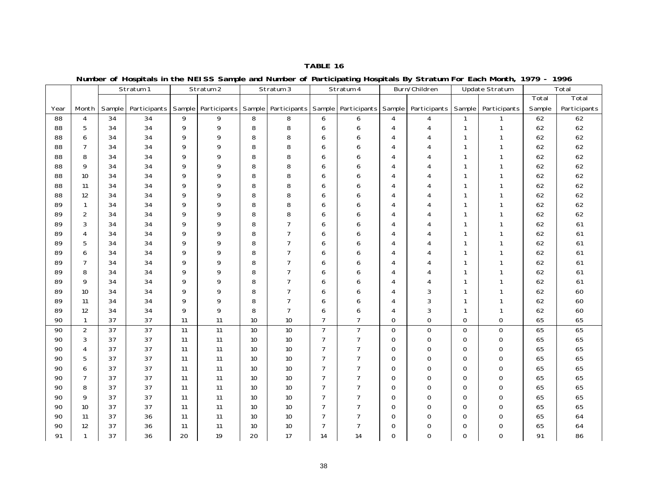|      |                |        | Stratum 1       |    | Stratum <sub>2</sub>           |    | Stratum 3      |                | $  -$<br>Stratum 4  |                | Burn/Children  |                | <b>Update Stratum</b> |        | Total        |
|------|----------------|--------|-----------------|----|--------------------------------|----|----------------|----------------|---------------------|----------------|----------------|----------------|-----------------------|--------|--------------|
|      |                |        |                 |    |                                |    |                |                |                     |                |                |                |                       | Total  | Total        |
| Year | Month          | Sample | Participants    |    | Sample   Participants   Sample |    | Participants   | Sample         | Participants Sample |                | Participants   | Sample         | Participants          | Sample | Participants |
| 88   | $\overline{4}$ | 34     | $\overline{34}$ | 9  | 9                              | 8  | 8              | 6              | 6                   | 4              | $\overline{4}$ | $\mathbf{1}$   | $\mathbf{1}$          | 62     | 62           |
| 88   | 5              | 34     | 34              | 9  | 9                              | 8  | 8              | 6              | 6                   | $\overline{4}$ | 4              | $\mathbf{1}$   | $\mathbf{1}$          | 62     | 62           |
| 88   | 6              | 34     | 34              | 9  | 9                              | 8  | 8              | 6              | 6                   | 4              | 4              | $\mathbf{1}$   | $\mathbf{1}$          | 62     | 62           |
| 88   | $\overline{7}$ | 34     | 34              | 9  | 9                              | 8  | 8              | 6              | 6                   | 4              | 4              | -1             | 1                     | 62     | 62           |
| 88   | 8              | 34     | 34              | 9  | 9                              | 8  | 8              | 6              | 6                   | 4              | 4              | -1             | 1                     | 62     | 62           |
| 88   | 9              | 34     | 34              | 9  | 9                              | 8  | 8              | 6              | 6                   | $\overline{4}$ | 4              | -1             | $\mathbf{1}$          | 62     | 62           |
| 88   | 10             | 34     | 34              | 9  | 9                              | 8  | 8              | 6              | 6                   | 4              | 4              |                | 1                     | 62     | 62           |
| 88   | 11             | 34     | 34              | 9  | 9                              | 8  | 8              | 6              | 6                   | 4              | 4              | -1             | $\mathbf{1}$          | 62     | 62           |
| 88   | 12             | 34     | 34              | 9  | 9                              | 8  | 8              | 6              | 6                   | $\overline{4}$ | 4              |                | 1                     | 62     | 62           |
| 89   | $\mathbf{1}$   | 34     | 34              | 9  | 9                              | 8  | 8              | 6              | 6                   | $\overline{4}$ | 4              | $\mathbf{1}$   | 1                     | 62     | 62           |
| 89   | 2              | 34     | 34              | 9  | 9                              | 8  | 8              | 6              | 6                   | $\overline{4}$ | $\overline{4}$ | $\mathbf{1}$   | $\mathbf{1}$          | 62     | 62           |
| 89   | 3              | 34     | 34              | 9  | 9                              | 8  | $\overline{7}$ | 6              | 6                   | $\overline{4}$ | 4              | $\mathbf{1}$   | $\mathbf{1}$          | 62     | 61           |
| 89   | $\overline{4}$ | 34     | 34              | 9  | 9                              | 8  | $\overline{7}$ | 6              | 6                   | 4              | 4              | $\mathbf{1}$   | 1                     | 62     | 61           |
| 89   | 5              | 34     | 34              | 9  | 9                              | 8  | $\overline{7}$ | 6              | 6                   | $\overline{4}$ | 4              | $\mathbf{1}$   | $\mathbf{1}$          | 62     | 61           |
| 89   | 6              | 34     | 34              | 9  | 9                              | 8  | $\overline{7}$ | 6              | 6                   | $\overline{4}$ | 4              | $\mathbf{1}$   | 1                     | 62     | 61           |
| 89   | $\overline{7}$ | 34     | 34              | 9  | 9                              | 8  | $\overline{7}$ | 6              | 6                   | 4              | 4              |                | $\mathbf{1}$          | 62     | 61           |
| 89   | 8              | 34     | 34              | 9  | 9                              | 8  | $\overline{7}$ | 6              | 6                   | 4              | 4              | $\mathbf{1}$   | 1                     | 62     | 61           |
| 89   | 9              | 34     | 34              | 9  | 9                              | 8  | $\overline{7}$ | 6              | 6                   | 4              | 4              | -1             | $\mathbf{1}$          | 62     | 61           |
| 89   | 10             | 34     | 34              | 9  | 9                              | 8  | $\overline{7}$ | 6              | 6                   | $\overline{4}$ | 3              | $\mathbf{1}$   | $\mathbf{1}$          | 62     | 60           |
| 89   | 11             | 34     | 34              | 9  | 9                              | 8  | $\overline{7}$ | 6              | 6                   | 4              | 3              | -1             | $\mathbf{1}$          | 62     | 60           |
| 89   | 12             | 34     | 34              | 9  | 9                              | 8  | $\overline{7}$ | 6              | 6                   | 4              | 3              | $\mathbf{1}$   | $\mathbf{1}$          | 62     | 60           |
| 90   | $\mathbf{1}$   | 37     | 37              | 11 | 11                             | 10 | 10             | $\overline{7}$ | $\overline{7}$      | $\Omega$       | $\mathbf{O}$   | $\overline{O}$ | $\mathbf{O}$          | 65     | 65           |
| 90   | $\overline{2}$ | 37     | 37              | 11 | $\overline{11}$                | 10 | 10             | $\overline{7}$ | $\overline{7}$      | $\mathbf{O}$   | $\,0\,$        | $\mathbf 0$    | $\mathsf O$           | 65     | 65           |
| 90   | 3              | 37     | 37              | 11 | 11                             | 10 | 10             | $\overline{7}$ | $\overline{7}$      | $\Omega$       | 0              | $\mathbf{O}$   | $\mathbf 0$           | 65     | 65           |
| 90   | $\overline{4}$ | 37     | 37              | 11 | 11                             | 10 | 10             | $\overline{7}$ | 7                   | $\overline{0}$ | $\mathbf 0$    | $\mathbf{O}$   | $\mathbf 0$           | 65     | 65           |
| 90   | 5              | 37     | 37              | 11 | 11                             | 10 | 10             | $\overline{7}$ | 7                   | $\mathbf 0$    | 0              | $\mathbf 0$    | $\mathbf 0$           | 65     | 65           |
| 90   | 6              | 37     | 37              | 11 | 11                             | 10 | 10             | $\overline{7}$ | 7                   | $\Omega$       | $\mathbf{O}$   | $\mathbf{O}$   | $\mathbf 0$           | 65     | 65           |
| 90   | $\overline{7}$ | 37     | 37              | 11 | 11                             | 10 | 10             | $\overline{7}$ | 7                   | $\mathbf 0$    | 0              | $\mathbf 0$    | $\mathbf 0$           | 65     | 65           |
| 90   | 8              | 37     | 37              | 11 | 11                             | 10 | 10             | $\overline{7}$ | 7                   | $\mathbf 0$    | 0              | $\mathbf 0$    | $\mathbf 0$           | 65     | 65           |
| 90   | 9              | 37     | 37              | 11 | 11                             | 10 | 10             | $\overline{7}$ | $\overline{7}$      | $\Omega$       | 0              | $\mathbf 0$    | $\mathbf 0$           | 65     | 65           |
| 90   | 10             | 37     | 37              | 11 | 11                             | 10 | 10             | $\overline{7}$ | 7                   | $\mathbf 0$    | $\mathbf 0$    | $\mathbf 0$    | $\mathsf{O}$          | 65     | 65           |
| 90   | 11             | 37     | 36              | 11 | 11                             | 10 | 10             | $\overline{7}$ | 7                   | $\mathbf 0$    | $\mathbf 0$    | $\mathbf{O}$   | $\mathbf{O}$          | 65     | 64           |
| 90   | 12             | 37     | 36              | 11 | 11                             | 10 | 10             | $\overline{7}$ | $\overline{7}$      | $\overline{0}$ | $\mathbf 0$    | $\mathbf 0$    | $\mathbf 0$           | 65     | 64           |
| 91   | $\mathbf{1}$   | 37     | 36              | 20 | 19                             | 20 | 17             | 14             | 14                  | $\overline{0}$ | $\overline{O}$ | $\mathbf{O}$   | $\overline{O}$        | 91     | 86           |

**Number of Hospitals in the NEISS Sample and Number of Participating Hospitals By Stratum For Each Month, 1979 - 1996**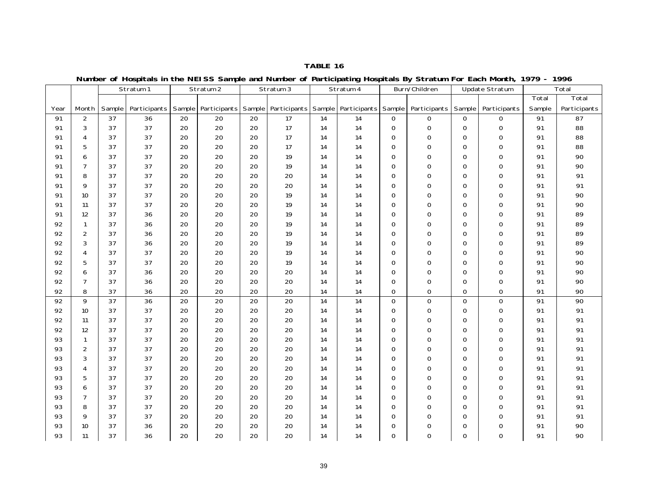Sample Participants Sample Participants Sample Participants Sample Participants Sample Participants Sample Participants **Total** Sample Total Participants Stratum 2 | Stratum 3 | Stratum 4 Burn/Children | Update Stratum | Total Year Month Stratum 191 | 2 | 37 | 36 | 20 | 20 | 20 | 17 | 14 | 14 | 0 | 0 | 0 | 0 | 91 | 87 91 | 3 | 37 | 37 | 20 | 20 | 20 | 17 | 14 | 14 | 0 | 0 | 0 | 0 | 91 | 88 91 | 4 | 37 | 37 | 20 | 20 | 20 | 17 | 14 | 14 | 0 | 0 | 0 | 0 | 91 | 88 91 | 5 | 37 | 37 | 20 | 20 | 20 | 17 | 14 | 14 | 0 | 0 | 0 | 0 | 91 | 88 91 | 6 | 37 | 37 | 20 | 20 | 20 | 19 | 14 | 14 | 0 | 0 | 0 | 0 | 91 | 90 91 | 7 | 37 | 37 | 20 | 20 | 20 | 19 | 14 | 14 | 0 | 0 | 0 | 0 | 91 | 90 91 | 8 | 37 | 37 | 20 | 20 | 20 | 20 | 14 | 14 | 0 | 0 | 0 | 0 | 91 | 91 91 | 9 | 37 | 37 | 20 | 20 | 20 | 20 | 14 | 14 | 0 | 0 | 0 | 0 | 91 | 91 91 | 10 | 37 | 37 | 20 | 20 | 20 | 19 | 14 | 14 | 0 | 0 | 0 | 0 | 91 | 90 91 | 11 | 37 | 37 | 20 | 20 | 20 | 19 | 14 | 14 | 0 | 0 | 0 | 0 | 91 | 90 91 12 37 1 36 1 20 1 20 1 20 1 14 1 14 1 0 1 0 1 0 1 91 1 89 92 | 1 | 37 | 36 | 20 | 20 | 20 | 19 | 14 | 14 | 0 | 0 | 0 | 0 | 91 | 89 92 | 2 | 37 | 36 | 20 | 20 | 20 | 19 | 14 | 14 | 0 | 0 | 0 | 0 | 91 | 89 92 3 37 36 20 20 20 20 1 39 1 31 14 10 10 10 10 191 189 92 | 4 | 37 | 37 | 20 | 20 | 20 | 19 | 14 | 14 | 0 | 0 | 0 | 0 | 91 | 90 92 1 5 1 37 1 37 1 20 1 20 1 20 1 19 1 14 1 14 1 0 1 0 1 0 1 0 1 91 1 90 90 92 | 6 | 37 | 36 | 20 | 20 | 20 | 20 | 14 | 14 | 0 | 0 | 0 | 0 | 91 | 90 92 | 7 | 37 | 36 | 20 | 20 | 20 | 20 | 14 | 14 | 0 | 0 | 0 | 0 | 91 | 90 92 8 37 36 20 20 20 20 14 14 0 0 0 0 91 9092 | 9 | 37 | 36 | 20 | 20 | 20 | 20 | 14 | 14 | 0 | 0 | 0 | 0 | 91 | 90 92 | 10 | 37 | 37 | 20 | 20 | 20 | 20 | 14 | 14 | 0 | 0 | 0 | 0 | 91 | 91 92 11 1 37 1 37 1 20 1 20 1 20 1 20 1 14 1 0 1 0 1 0 1 0 1 91 1 91 92 | 12 | 37 | 37 | 20 | 20 | 20 | 20 | 14 | 14 | 0 | 0 | 0 | 0 | 91 | 91 93 | 1 | 37 | 37 | 20 | 20 | 20 | 20 | 14 | 14 | 0 | 0 | 0 | 0 | 91 | 91 91 93 2 37 37 20 20 20 20 14 14 0 0 0 0 91 9193 | 3 | 37 | 20 | 20 | 20 | 20 | 14 | 14 | 0 | 0 | 0 | 0 | 91 | 91 93 | 4 | 37 | 37 | 20 | 20 | 20 | 20 | 14 | 14 | 0 | 0 | 0 | 0 | 91 | 91 93 5 37 37 20 20 20 20 20 34 35 36 37 37 387 398 399 300 314 320 331 340 352 362 37 37 37 37 37 37 37 37 37 37 93 | 6 | 37 | 37 | 20 | 20 | 20 | 20 | 14 | 14 | 0 | 0 | 0 | 0 | 91 | 91 93 1 7 1 37 1 20 1 20 1 20 1 20 1 14 1 0 1 0 1 0 1 0 1 91 1 91 93 | 8 | 37 | 37 | 20 | 20 | 20 | 20 | 14 | 14 | 0 | 0 | 0 | 0 | 91 | 91 93 | 9 | 37 | 37 | 20 | 20 | 20 | 20 | 14 | 14 | 0 | 0 | 0 | 0 | 91 | 91 93 10 137 1 36 1 20 1 20 1 20 1 20 1 14 1 0 1 0 1 0 1 0 1 91 1 90

**Number of Hospitals in the NEISS Sample and Number of Participating Hospitals By Stratum For Each Month, 1979 - 1996**

93 | 11 | 37 | 36 | 20 | 20 | 20 | 20 | 14 | 14 | 0 | 0 | 0 | 0 | 91 | 90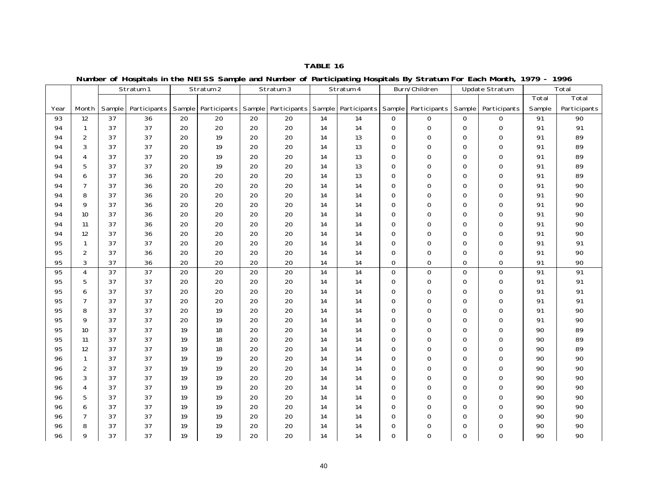**Number of Hospitals in the NEISS Sample and Number of Participating Hospitals By Stratum For Each Month, 1979 - 1996**

|      |                |        | Stratum 1       |                 | Stratum 2             |    | Stratum 3           |    | −ت<br>Stratum 4 | .            | Burn/Children                                 |              | Update Stratum |                 | Total           |
|------|----------------|--------|-----------------|-----------------|-----------------------|----|---------------------|----|-----------------|--------------|-----------------------------------------------|--------------|----------------|-----------------|-----------------|
|      |                |        |                 |                 |                       |    |                     |    |                 |              |                                               |              |                | Total           | Total           |
| Year | Month          | Sample | Participants    |                 | Sample   Participants |    | Sample Participants |    |                 |              | Sample   Participants   Sample   Participants | Sample       | Participants   | Sample          | Participants    |
| 93   | 12             | 37     | 36              | $\overline{20}$ | $\overline{20}$       | 20 | $\overline{20}$     | 14 | $\overline{14}$ | $\mathsf{O}$ | $\mathsf O$                                   | $\mathbf 0$  | $\overline{O}$ | $\overline{91}$ | $\overline{90}$ |
| 94   | $\mathbf{1}$   | 37     | 37              | 20              | 20                    | 20 | 20                  | 14 | 14              | $\mathsf{O}$ | $\mathsf{O}\xspace$                           | $\mathbf 0$  | 0              | 91              | 91              |
| 94   | 2              | 37     | 37              | 20              | 19                    | 20 | 20                  | 14 | 13              | $\mathbf{O}$ | $\mathbf 0$                                   | $\mathbf 0$  | $\mathbf{O}$   | 91              | 89              |
| 94   | 3              | 37     | 37              | 20              | 19                    | 20 | 20                  | 14 | 13              | $\mathbf 0$  | $\mathsf{O}\xspace$                           | $\mathbf 0$  | 0              | 91              | 89              |
| 94   | $\overline{4}$ | 37     | 37              | 20              | 19                    | 20 | 20                  | 14 | 13              | $\mathbf 0$  | $\mathbf 0$                                   | $\mathbf 0$  | $\mathbf 0$    | 91              | 89              |
| 94   | 5              | 37     | 37              | 20              | 19                    | 20 | 20                  | 14 | 13              | $\mathbf{O}$ | $\mathbf 0$                                   | $\mathbf 0$  | $\mathbf{O}$   | 91              | 89              |
| 94   | 6              | 37     | 36              | 20              | 20                    | 20 | 20                  | 14 | 13              | $\mathbf{O}$ | $\mathbf 0$                                   | $\mathbf 0$  | $\mathbf 0$    | 91              | 89              |
| 94   | $\overline{7}$ | 37     | 36              | 20              | 20                    | 20 | 20                  | 14 | 14              | $\mathbf 0$  | $\mathbf 0$                                   | $\mathbf 0$  | $\mathbf 0$    | 91              | 90              |
| 94   | 8              | 37     | 36              | 20              | 20                    | 20 | 20                  | 14 | 14              | $\mathbf 0$  | $\mathsf{O}\xspace$                           | $\mathbf 0$  | $\mathbf 0$    | 91              | 90              |
| 94   | 9              | 37     | 36              | 20              | 20                    | 20 | 20                  | 14 | 14              | $\mathbf{O}$ | $\mathbf 0$                                   | $\mathbf{O}$ | $\mathbf{O}$   | 91              | 90              |
| 94   | 10             | 37     | 36              | 20              | 20                    | 20 | 20                  | 14 | 14              | $\mathbf 0$  | $\mathsf{O}\xspace$                           | $\mathbf 0$  | 0              | 91              | 90              |
| 94   | 11             | 37     | 36              | 20              | 20                    | 20 | 20                  | 14 | 14              | $\mathbf 0$  | $\mathsf{O}\xspace$                           | $\mathbf 0$  | $\mathbf 0$    | 91              | 90              |
| 94   | 12             | 37     | 36              | 20              | 20                    | 20 | 20                  | 14 | 14              | $\mathbf{O}$ | $\mathbf 0$                                   | $\mathbf 0$  | $\mathbf{O}$   | 91              | 90              |
| 95   | $\mathbf{1}$   | 37     | 37              | 20              | 20                    | 20 | 20                  | 14 | 14              | $\mathbf 0$  | $\mathsf{O}\xspace$                           | $\mathbf 0$  | 0              | 91              | 91              |
| 95   | 2              | 37     | 36              | 20              | 20                    | 20 | 20                  | 14 | 14              | $\mathbf 0$  | $\mathbf 0$                                   | $\mathbf 0$  | $\mathbf 0$    | 91              | 90              |
| 95   | 3              | 37     | 36              | 20              | 20                    | 20 | 20                  | 14 | 14              | $\mathbf{O}$ | $\mathbf 0$                                   | $\mathbf 0$  | $\mathbf 0$    | 91              | 90              |
| 95   | $\overline{4}$ | 37     | $\overline{37}$ | 20              | 20                    | 20 | 20                  | 14 | 14              | $\mathsf{O}$ | $\mathsf{O}\xspace$                           | $\mathbf 0$  | $\mathbf 0$    | $\overline{91}$ | $\overline{91}$ |
| 95   | 5              | 37     | 37              | 20              | 20                    | 20 | 20                  | 14 | 14              | $\mathbf 0$  | $\mathsf{O}\xspace$                           | $\mathbf 0$  | 0              | 91              | 91              |
| 95   | 6              | 37     | 37              | 20              | 20                    | 20 | 20                  | 14 | 14              | $\mathbf{O}$ | $\mathbf 0$                                   | $\mathbf 0$  | $\mathbf{O}$   | 91              | 91              |
| 95   | $\overline{7}$ | 37     | 37              | 20              | 20                    | 20 | 20                  | 14 | 14              | $\mathbf{O}$ | $\mathbf 0$                                   | $\mathbf 0$  | $\mathbf 0$    | 91              | 91              |
| 95   | 8              | 37     | 37              | 20              | 19                    | 20 | 20                  | 14 | 14              | $\Omega$     | $\mathsf{O}\xspace$                           | $\mathbf 0$  | 0              | 91              | 90              |
| 95   | 9              | 37     | 37              | 20              | 19                    | 20 | 20                  | 14 | 14              | $\Omega$     | $\mathbf 0$                                   | $\mathbf 0$  | $\mathbf 0$    | 91              | 90              |
| 95   | 10             | 37     | 37              | 19              | 18                    | 20 | 20                  | 14 | 14              | $\mathbf{O}$ | $\mathbf 0$                                   | $\mathbf 0$  | $\mathbf 0$    | 90              | 89              |
| 95   | 11             | 37     | 37              | 19              | 18                    | 20 | 20                  | 14 | 14              | $\mathbf 0$  | $\mathsf{O}\xspace$                           | $\mbox{O}$   | 0              | 90              | 89              |
| 95   | 12             | 37     | 37              | 19              | 18                    | 20 | 20                  | 14 | 14              | $\mathbf 0$  | $\mathbf 0$                                   | $\mathbf 0$  | $\mathbf 0$    | 90              | 89              |
| 96   | $\mathbf{1}$   | 37     | 37              | 19              | 19                    | 20 | 20                  | 14 | 14              | $\mathbf{O}$ | $\mathbf 0$                                   | $\mathbf 0$  | $\mathbf 0$    | 90              | 90              |
| 96   | $\overline{2}$ | 37     | 37              | 19              | 19                    | 20 | 20                  | 14 | 14              | $\mathbf 0$  | $\mathsf{O}\xspace$                           | $\mathbf 0$  | 0              | 90              | 90              |
| 96   | 3              | 37     | 37              | 19              | 19                    | 20 | 20                  | 14 | 14              | $\mathbf 0$  | $\mathbf 0$                                   | $\mathbf 0$  | 0              | 90              | 90              |
| 96   | $\overline{4}$ | 37     | 37              | 19              | 19                    | 20 | 20                  | 14 | 14              | $\mathbf{O}$ | $\mathbf 0$                                   | $\mathbf 0$  | $\mathbf 0$    | 90              | 90              |
| 96   | 5              | 37     | 37              | 19              | 19                    | 20 | 20                  | 14 | 14              | $\mathbf 0$  | $\mathbf 0$                                   | $\mathbf{O}$ | $\mathbf 0$    | 90              | 90              |
| 96   | 6              | 37     | 37              | 19              | 19                    | 20 | 20                  | 14 | 14              | $\mathbf 0$  | $\mathbf 0$                                   | $\mathbf 0$  | 0              | 90              | 90              |
| 96   | $\overline{7}$ | 37     | 37              | 19              | 19                    | 20 | 20                  | 14 | 14              | $\mathbf 0$  | $\mathbf 0$                                   | $\mathbf 0$  | $\mathbf 0$    | 90              | 90              |
| 96   | 8              | 37     | 37              | 19              | 19                    | 20 | 20                  | 14 | 14              | $\mathbf{O}$ | $\mathbf 0$                                   | $\mathbf 0$  | $\mathbf 0$    | 90              | 90              |
| 96   | 9              | 37     | 37              | 19              | 19                    | 20 | 20                  | 14 | 14              | $\mathbf{O}$ | $\mathbf{O}$                                  | $\mathbf 0$  | $\mathbf 0$    | 90              | 90              |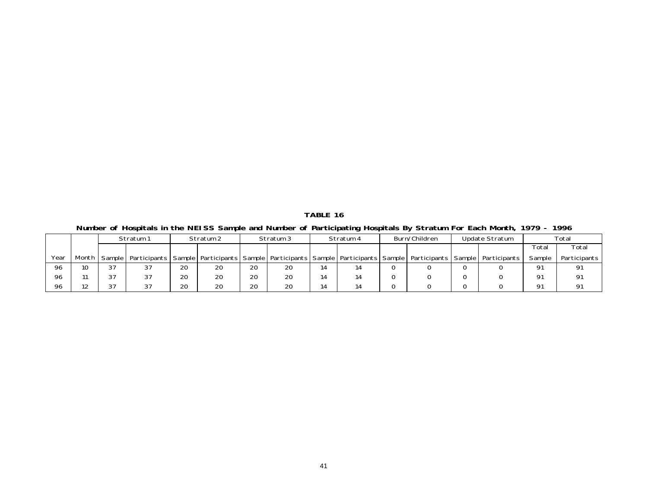**TABLE 16 Number of Hospitals in the NEISS Sample and Number of Participating Hospitals By Stratum For Each Month, 1979 - 1996**

|      |                 |                    | Stratum 1                                                                                                                              |    | Stratum 2 |    | Stratum 3 |    | Stratum 4 | Burn/Children | Update Stratum |                | Total          |
|------|-----------------|--------------------|----------------------------------------------------------------------------------------------------------------------------------------|----|-----------|----|-----------|----|-----------|---------------|----------------|----------------|----------------|
|      |                 |                    |                                                                                                                                        |    |           |    |           |    |           |               |                | Total          | Total          |
| Year |                 |                    | Month   Sample   Participants   Sample   Participants   Sample   Participants   Sample   Participants   Sample   Participants   Sample |    |           |    |           |    |           |               | Participants   | Sample         | Participants I |
| 96   | 10 <sup>°</sup> | 37                 | 37                                                                                                                                     | 20 | 20        | 20 | 20        | 14 |           |               |                | O <sub>1</sub> | 91             |
| 96   |                 | 37                 | 37                                                                                                                                     | 20 | 20        | 20 | 20        | 14 |           |               |                | O <sub>1</sub> | 91             |
| 96   |                 | $\sim$ $\sim$<br>ت | 37                                                                                                                                     | 20 | 20        | 20 | 20        | 14 |           |               |                | O <sub>1</sub> | 91             |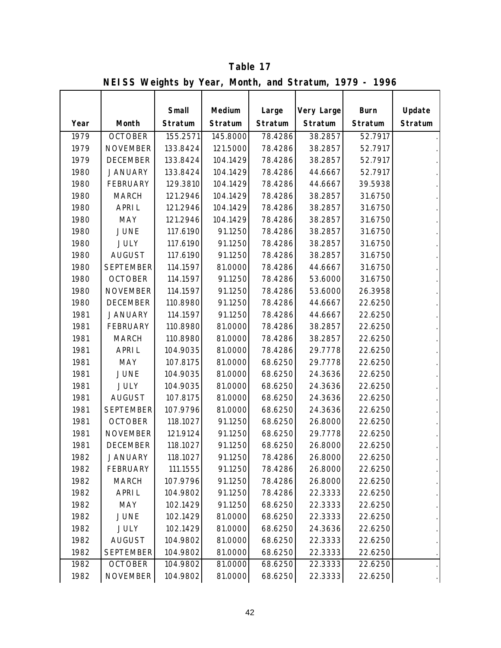|      | $\mathbf{R}$ is the equity by rear, month, and because $\mathbf{R}$ is $\mathbf{R}$ |                  |                   |                  |                       |                        |                   |
|------|-------------------------------------------------------------------------------------|------------------|-------------------|------------------|-----------------------|------------------------|-------------------|
| Year | Month                                                                               | Small<br>Stratum | Medium<br>Stratum | Large<br>Stratum | Very Large<br>Stratum | <b>Burn</b><br>Stratum | Update<br>Stratum |
| 1979 | <b>OCTOBER</b>                                                                      | 155.2571         | 145.8000          | 78.4286          | 38.2857               | 52.7917                |                   |
| 1979 | <b>NOVEMBER</b>                                                                     | 133.8424         | 121.5000          | 78.4286          | 38.2857               | 52.7917                |                   |
| 1979 | <b>DECEMBER</b>                                                                     | 133.8424         | 104.1429          | 78.4286          | 38.2857               | 52.7917                |                   |
| 1980 | <b>JANUARY</b>                                                                      | 133.8424         | 104.1429          | 78.4286          | 44.6667               | 52.7917                |                   |
| 1980 | <b>FEBRUARY</b>                                                                     | 129.3810         | 104.1429          | 78.4286          | 44.6667               | 39.5938                |                   |
| 1980 | <b>MARCH</b>                                                                        | 121.2946         | 104.1429          | 78.4286          | 38.2857               | 31.6750                |                   |
| 1980 | <b>APRIL</b>                                                                        | 121.2946         | 104.1429          | 78.4286          | 38.2857               | 31.6750                |                   |
| 1980 | <b>MAY</b>                                                                          | 121.2946         | 104.1429          | 78.4286          | 38.2857               | 31.6750                |                   |
| 1980 | <b>JUNE</b>                                                                         | 117.6190         | 91.1250           | 78.4286          | 38.2857               | 31.6750                |                   |
| 1980 | <b>JULY</b>                                                                         | 117.6190         | 91.1250           | 78.4286          | 38.2857               | 31.6750                |                   |
| 1980 | <b>AUGUST</b>                                                                       | 117.6190         | 91.1250           | 78.4286          | 38.2857               | 31.6750                |                   |
| 1980 | <b>SEPTEMBER</b>                                                                    | 114.1597         | 81.0000           | 78.4286          | 44.6667               | 31.6750                |                   |
| 1980 | <b>OCTOBER</b>                                                                      | 114.1597         | 91.1250           | 78.4286          | 53.6000               | 31.6750                |                   |
| 1980 | <b>NOVEMBER</b>                                                                     | 114.1597         | 91.1250           | 78.4286          | 53.6000               | 26.3958                |                   |
| 1980 | <b>DECEMBER</b>                                                                     | 110.8980         | 91.1250           | 78.4286          | 44.6667               | 22.6250                |                   |
| 1981 | <b>JANUARY</b>                                                                      | 114.1597         | 91.1250           | 78.4286          | 44.6667               | 22.6250                |                   |
| 1981 | <b>FEBRUARY</b>                                                                     | 110.8980         | 81.0000           | 78.4286          | 38.2857               | 22.6250                |                   |
| 1981 | <b>MARCH</b>                                                                        | 110.8980         | 81.0000           | 78.4286          | 38.2857               | 22.6250                |                   |
| 1981 | <b>APRIL</b>                                                                        | 104.9035         | 81.0000           | 78.4286          | 29.7778               | 22.6250                |                   |
| 1981 | <b>MAY</b>                                                                          | 107.8175         | 81.0000           | 68.6250          | 29.7778               | 22.6250                |                   |
| 1981 | <b>JUNE</b>                                                                         | 104.9035         | 81.0000           | 68.6250          | 24.3636               | 22.6250                |                   |
| 1981 | <b>JULY</b>                                                                         | 104.9035         | 81.0000           | 68.6250          | 24.3636               | 22.6250                |                   |
| 1981 | <b>AUGUST</b>                                                                       | 107.8175         | 81.0000           | 68.6250          | 24.3636               | 22.6250                |                   |
| 1981 | <b>SEPTEMBER</b>                                                                    | 107.9796         | 81.0000           | 68.6250          | 24.3636               | 22.6250                |                   |
| 1981 | <b>OCTOBER</b>                                                                      | 118.1027         | 91.1250           | 68.6250          | 26.8000               | 22.6250                |                   |
| 1981 | <b>NOVEMBER</b>                                                                     | 121.9124         | 91.1250           | 68.6250          | 29.7778               | 22.6250                |                   |
| 1981 | <b>DECEMBER</b>                                                                     | 118.1027         | 91.1250           | 68.6250          | 26.8000               | 22.6250                |                   |
| 1982 | <b>JANUARY</b>                                                                      | 118.1027         | 91.1250           | 78.4286          | 26.8000               | 22.6250                |                   |
| 1982 | <b>FEBRUARY</b>                                                                     | 111.1555         | 91.1250           | 78.4286          | 26.8000               | 22.6250                |                   |
| 1982 | <b>MARCH</b>                                                                        | 107.9796         | 91.1250           | 78.4286          | 26.8000               | 22.6250                |                   |
| 1982 | <b>APRIL</b>                                                                        | 104.9802         | 91.1250           | 78.4286          | 22.3333               | 22.6250                |                   |
| 1982 | MAY                                                                                 | 102.1429         | 91.1250           | 68.6250          | 22.3333               | 22.6250                |                   |
| 1982 | JUNE                                                                                | 102.1429         | 81.0000           | 68.6250          | 22.3333               | 22.6250                |                   |
| 1982 | <b>JULY</b>                                                                         | 102.1429         | 81.0000           | 68.6250          | 24.3636               | 22.6250                |                   |
| 1982 | <b>AUGUST</b>                                                                       | 104.9802         | 81.0000           | 68.6250          | 22.3333               | 22.6250                |                   |
| 1982 | <b>SEPTEMBER</b>                                                                    | 104.9802         | 81.0000           | 68.6250          | 22.3333               | 22.6250                |                   |
| 1982 | <b>OCTOBER</b>                                                                      | 104.9802         | 81.0000           | 68.6250          | 22.3333               | 22.6250                |                   |
| 1982 | <b>NOVEMBER</b>                                                                     | 104.9802         | 81.0000           | 68.6250          | 22.3333               | 22.6250                |                   |

**NEISS Weights by Year, Month, and Stratum, 1979 - 1996 Table 17**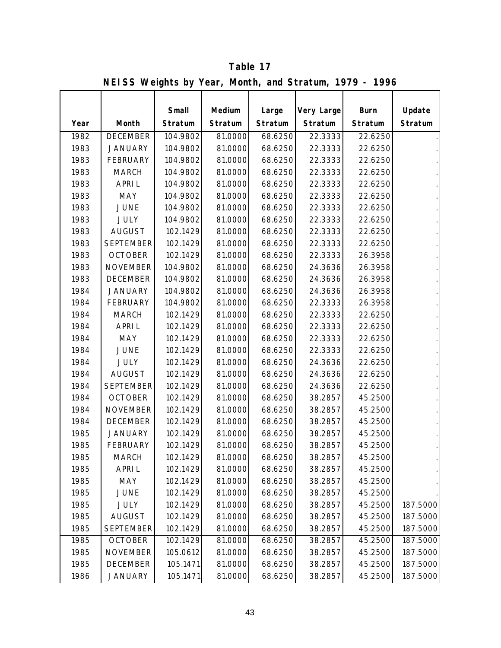|      | $\frac{1}{2}$ of $\frac{1}{2}$ and $\frac{1}{2}$ is $\frac{1}{2}$ is the set of $\frac{1}{2}$ and $\frac{1}{2}$ is the set of $\frac{1}{2}$ |          |         |         |            |             |          |
|------|---------------------------------------------------------------------------------------------------------------------------------------------|----------|---------|---------|------------|-------------|----------|
|      |                                                                                                                                             | Small    | Medium  | Large   | Very Large | <b>Burn</b> | Update   |
| Year | Month                                                                                                                                       | Stratum  | Stratum | Stratum | Stratum    | Stratum     | Stratum  |
| 1982 | <b>DECEMBER</b>                                                                                                                             | 104.9802 | 81.0000 | 68.6250 | 22.3333    | 22.6250     |          |
| 1983 | <b>JANUARY</b>                                                                                                                              | 104.9802 | 81.0000 | 68.6250 | 22.3333    | 22.6250     |          |
| 1983 | <b>FEBRUARY</b>                                                                                                                             | 104.9802 | 81.0000 | 68.6250 | 22.3333    | 22.6250     |          |
| 1983 | <b>MARCH</b>                                                                                                                                | 104.9802 | 81.0000 | 68.6250 | 22.3333    | 22.6250     |          |
| 1983 | <b>APRIL</b>                                                                                                                                | 104.9802 | 81.0000 | 68.6250 | 22.3333    | 22.6250     |          |
| 1983 | <b>MAY</b>                                                                                                                                  | 104.9802 | 81.0000 | 68.6250 | 22.3333    | 22.6250     |          |
| 1983 | <b>JUNE</b>                                                                                                                                 | 104.9802 | 81.0000 | 68.6250 | 22.3333    | 22.6250     |          |
| 1983 | <b>JULY</b>                                                                                                                                 | 104.9802 | 81.0000 | 68.6250 | 22.3333    | 22.6250     |          |
| 1983 | <b>AUGUST</b>                                                                                                                               | 102.1429 | 81.0000 | 68.6250 | 22.3333    | 22.6250     |          |
| 1983 | <b>SEPTEMBER</b>                                                                                                                            | 102.1429 | 81.0000 | 68.6250 | 22.3333    | 22.6250     |          |
| 1983 | <b>OCTOBER</b>                                                                                                                              | 102.1429 | 81.0000 | 68.6250 | 22.3333    | 26.3958     |          |
| 1983 | <b>NOVEMBER</b>                                                                                                                             | 104.9802 | 81.0000 | 68.6250 | 24.3636    | 26.3958     |          |
| 1983 | <b>DECEMBER</b>                                                                                                                             | 104.9802 | 81.0000 | 68.6250 | 24.3636    | 26.3958     |          |
| 1984 | <b>JANUARY</b>                                                                                                                              | 104.9802 | 81.0000 | 68.6250 | 24.3636    | 26.3958     |          |
| 1984 | <b>FEBRUARY</b>                                                                                                                             | 104.9802 | 81.0000 | 68.6250 | 22.3333    | 26.3958     |          |
| 1984 | <b>MARCH</b>                                                                                                                                | 102.1429 | 81.0000 | 68.6250 | 22.3333    | 22.6250     |          |
| 1984 | <b>APRIL</b>                                                                                                                                | 102.1429 | 81.0000 | 68.6250 | 22.3333    | 22.6250     |          |
| 1984 | MAY                                                                                                                                         | 102.1429 | 81.0000 | 68.6250 | 22.3333    | 22.6250     |          |
| 1984 | <b>JUNE</b>                                                                                                                                 | 102.1429 | 81.0000 | 68.6250 | 22.3333    | 22.6250     |          |
| 1984 | <b>JULY</b>                                                                                                                                 | 102.1429 | 81.0000 | 68.6250 | 24.3636    | 22.6250     |          |
| 1984 | <b>AUGUST</b>                                                                                                                               | 102.1429 | 81.0000 | 68.6250 | 24.3636    | 22.6250     |          |
| 1984 | <b>SEPTEMBER</b>                                                                                                                            | 102.1429 | 81.0000 | 68.6250 | 24.3636    | 22.6250     |          |
| 1984 | <b>OCTOBER</b>                                                                                                                              | 102.1429 | 81.0000 | 68.6250 | 38.2857    | 45.2500     |          |
| 1984 | <b>NOVEMBER</b>                                                                                                                             | 102.1429 | 81.0000 | 68.6250 | 38.2857    | 45.2500     |          |
| 1984 | <b>DECEMBER</b>                                                                                                                             | 102.1429 | 81.0000 | 68.6250 | 38.2857    | 45.2500     |          |
| 1985 | <b>JANUARY</b>                                                                                                                              | 102.1429 | 81.0000 | 68.6250 | 38.2857    | 45.2500     |          |
| 1985 | <b>FEBRUARY</b>                                                                                                                             | 102.1429 | 81.0000 | 68.6250 | 38.2857    | 45.2500     |          |
| 1985 | <b>MARCH</b>                                                                                                                                | 102.1429 | 81.0000 | 68.6250 | 38.2857    | 45.2500     |          |
| 1985 | <b>APRIL</b>                                                                                                                                | 102.1429 | 81.0000 | 68.6250 | 38.2857    | 45.2500     |          |
| 1985 | MAY                                                                                                                                         | 102.1429 | 81.0000 | 68.6250 | 38.2857    | 45.2500     |          |
| 1985 | <b>JUNE</b>                                                                                                                                 | 102.1429 | 81.0000 | 68.6250 | 38.2857    | 45.2500     |          |
| 1985 | <b>JULY</b>                                                                                                                                 | 102.1429 | 81.0000 | 68.6250 | 38.2857    | 45.2500     | 187.5000 |
| 1985 | <b>AUGUST</b>                                                                                                                               | 102.1429 | 81.0000 | 68.6250 | 38.2857    | 45.2500     | 187.5000 |
| 1985 | <b>SEPTEMBER</b>                                                                                                                            | 102.1429 | 81.0000 | 68.6250 | 38.2857    | 45.2500     | 187.5000 |
| 1985 | <b>OCTOBER</b>                                                                                                                              | 102.1429 | 81.0000 | 68.6250 | 38.2857    | 45.2500     | 187.5000 |
| 1985 | <b>NOVEMBER</b>                                                                                                                             | 105.0612 | 81.0000 | 68.6250 | 38.2857    | 45.2500     | 187.5000 |
| 1985 | <b>DECEMBER</b>                                                                                                                             | 105.1471 | 81.0000 | 68.6250 | 38.2857    | 45.2500     | 187.5000 |
| 1986 | <b>JANUARY</b>                                                                                                                              | 105.1471 | 81.0000 | 68.6250 | 38.2857    | 45.2500     | 187.5000 |

**NEISS Weights by Year, Month, and Stratum, 1979 - 1996 Table 17**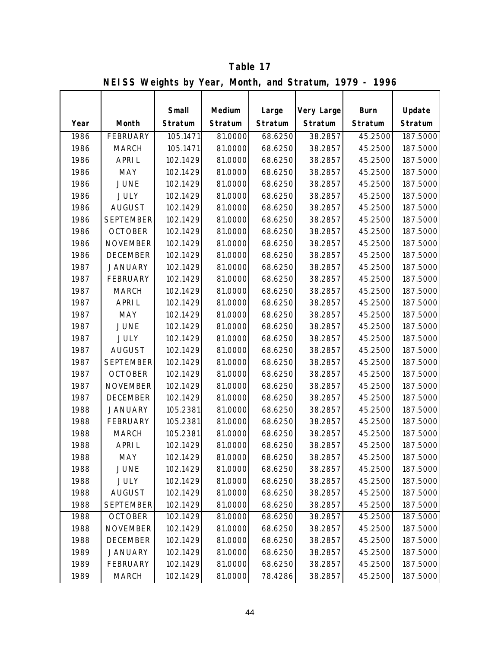|      | $\overline{N}$ is a control of the set of $\overline{N}$ is a control of $\overline{N}$ is a control of $\overline{N}$ is a control of $\overline{N}$ is a control of $\overline{N}$ is a control of $\overline{N}$ is a control of $\overline{N}$ is a control of $\overline{N}$ i |          |         |         |            |             |          |
|------|-------------------------------------------------------------------------------------------------------------------------------------------------------------------------------------------------------------------------------------------------------------------------------------|----------|---------|---------|------------|-------------|----------|
|      |                                                                                                                                                                                                                                                                                     |          |         |         |            |             |          |
|      |                                                                                                                                                                                                                                                                                     | Small    | Medium  | Large   | Very Large | <b>Burn</b> | Update   |
| Year | Month                                                                                                                                                                                                                                                                               | Stratum  | Stratum | Stratum | Stratum    | Stratum     | Stratum  |
| 1986 | <b>FEBRUARY</b>                                                                                                                                                                                                                                                                     | 105.1471 | 81.0000 | 68.6250 | 38.2857    | 45.2500     | 187.5000 |
| 1986 | <b>MARCH</b>                                                                                                                                                                                                                                                                        | 105.1471 | 81.0000 | 68.6250 | 38.2857    | 45.2500     | 187.5000 |
| 1986 | <b>APRIL</b>                                                                                                                                                                                                                                                                        | 102.1429 | 81.0000 | 68.6250 | 38.2857    | 45.2500     | 187.5000 |
| 1986 | MAY                                                                                                                                                                                                                                                                                 | 102.1429 | 81.0000 | 68.6250 | 38.2857    | 45.2500     | 187.5000 |
| 1986 | <b>JUNE</b>                                                                                                                                                                                                                                                                         | 102.1429 | 81.0000 | 68.6250 | 38.2857    | 45.2500     | 187.5000 |
| 1986 | <b>JULY</b>                                                                                                                                                                                                                                                                         | 102.1429 | 81.0000 | 68.6250 | 38.2857    | 45.2500     | 187.5000 |
| 1986 | <b>AUGUST</b>                                                                                                                                                                                                                                                                       | 102.1429 | 81.0000 | 68.6250 | 38.2857    | 45.2500     | 187.5000 |
| 1986 | <b>SEPTEMBER</b>                                                                                                                                                                                                                                                                    | 102.1429 | 81.0000 | 68.6250 | 38.2857    | 45.2500     | 187.5000 |
| 1986 | <b>OCTOBER</b>                                                                                                                                                                                                                                                                      | 102.1429 | 81.0000 | 68.6250 | 38.2857    | 45.2500     | 187.5000 |
| 1986 | <b>NOVEMBER</b>                                                                                                                                                                                                                                                                     | 102.1429 | 81.0000 | 68.6250 | 38.2857    | 45.2500     | 187.5000 |
| 1986 | <b>DECEMBER</b>                                                                                                                                                                                                                                                                     | 102.1429 | 81.0000 | 68.6250 | 38.2857    | 45.2500     | 187.5000 |
| 1987 | <b>JANUARY</b>                                                                                                                                                                                                                                                                      | 102.1429 | 81.0000 | 68.6250 | 38.2857    | 45.2500     | 187.5000 |
| 1987 | <b>FEBRUARY</b>                                                                                                                                                                                                                                                                     | 102.1429 | 81.0000 | 68.6250 | 38.2857    | 45.2500     | 187.5000 |
| 1987 | <b>MARCH</b>                                                                                                                                                                                                                                                                        | 102.1429 | 81.0000 | 68.6250 | 38.2857    | 45.2500     | 187.5000 |
| 1987 | <b>APRIL</b>                                                                                                                                                                                                                                                                        | 102.1429 | 81.0000 | 68.6250 | 38.2857    | 45.2500     | 187.5000 |
| 1987 | MAY                                                                                                                                                                                                                                                                                 | 102.1429 | 81.0000 | 68.6250 | 38.2857    | 45.2500     | 187.5000 |
| 1987 | <b>JUNE</b>                                                                                                                                                                                                                                                                         | 102.1429 | 81.0000 | 68.6250 | 38.2857    | 45.2500     | 187.5000 |
| 1987 | <b>JULY</b>                                                                                                                                                                                                                                                                         | 102.1429 | 81.0000 | 68.6250 | 38.2857    | 45.2500     | 187.5000 |
| 1987 | <b>AUGUST</b>                                                                                                                                                                                                                                                                       | 102.1429 | 81.0000 | 68.6250 | 38.2857    | 45.2500     | 187.5000 |
| 1987 | <b>SEPTEMBER</b>                                                                                                                                                                                                                                                                    | 102.1429 | 81.0000 | 68.6250 | 38.2857    | 45.2500     | 187.5000 |
| 1987 | <b>OCTOBER</b>                                                                                                                                                                                                                                                                      | 102.1429 | 81.0000 | 68.6250 | 38.2857    | 45.2500     | 187.5000 |
| 1987 | <b>NOVEMBER</b>                                                                                                                                                                                                                                                                     | 102.1429 | 81.0000 | 68.6250 | 38.2857    | 45.2500     | 187.5000 |
| 1987 | <b>DECEMBER</b>                                                                                                                                                                                                                                                                     | 102.1429 | 81.0000 | 68.6250 | 38.2857    | 45.2500     | 187.5000 |
| 1988 | <b>JANUARY</b>                                                                                                                                                                                                                                                                      | 105.2381 | 81.0000 | 68.6250 | 38.2857    | 45.2500     | 187.5000 |
| 1988 | <b>FEBRUARY</b>                                                                                                                                                                                                                                                                     | 105.2381 | 81.0000 | 68.6250 | 38.2857    | 45.2500     | 187.5000 |
| 1988 | <b>MARCH</b>                                                                                                                                                                                                                                                                        | 105.2381 | 81.0000 | 68.6250 | 38.2857    | 45.2500     | 187.5000 |
| 1988 | <b>APRIL</b>                                                                                                                                                                                                                                                                        | 102.1429 | 81.0000 | 68.6250 | 38.2857    | 45.2500     | 187.5000 |
| 1988 | MAY                                                                                                                                                                                                                                                                                 | 102.1429 | 81.0000 | 68.6250 | 38.2857    | 45.2500     | 187.5000 |
| 1988 | <b>JUNE</b>                                                                                                                                                                                                                                                                         | 102.1429 | 81.0000 | 68.6250 | 38.2857    | 45.2500     | 187.5000 |
| 1988 | <b>JULY</b>                                                                                                                                                                                                                                                                         | 102.1429 | 81.0000 | 68.6250 | 38.2857    | 45.2500     | 187.5000 |
| 1988 | <b>AUGUST</b>                                                                                                                                                                                                                                                                       | 102.1429 | 81.0000 | 68.6250 | 38.2857    | 45.2500     | 187.5000 |
| 1988 | <b>SEPTEMBER</b>                                                                                                                                                                                                                                                                    | 102.1429 | 81.0000 | 68.6250 | 38.2857    | 45.2500     | 187.5000 |
| 1988 | <b>OCTOBER</b>                                                                                                                                                                                                                                                                      | 102.1429 | 81.0000 | 68.6250 | 38.2857    | 45.2500     | 187.5000 |
| 1988 | <b>NOVEMBER</b>                                                                                                                                                                                                                                                                     | 102.1429 | 81.0000 | 68.6250 | 38.2857    | 45.2500     | 187.5000 |
| 1988 | <b>DECEMBER</b>                                                                                                                                                                                                                                                                     | 102.1429 | 81.0000 | 68.6250 | 38.2857    | 45.2500     | 187.5000 |
| 1989 | <b>JANUARY</b>                                                                                                                                                                                                                                                                      | 102.1429 | 81.0000 | 68.6250 | 38.2857    | 45.2500     | 187.5000 |
| 1989 | <b>FEBRUARY</b>                                                                                                                                                                                                                                                                     | 102.1429 | 81.0000 | 68.6250 | 38.2857    | 45.2500     | 187.5000 |
| 1989 | <b>MARCH</b>                                                                                                                                                                                                                                                                        | 102.1429 | 81.0000 | 78.4286 | 38.2857    | 45.2500     | 187.5000 |

**NEISS Weights by Year, Month, and Stratum, 1979 - 1996 Table 17**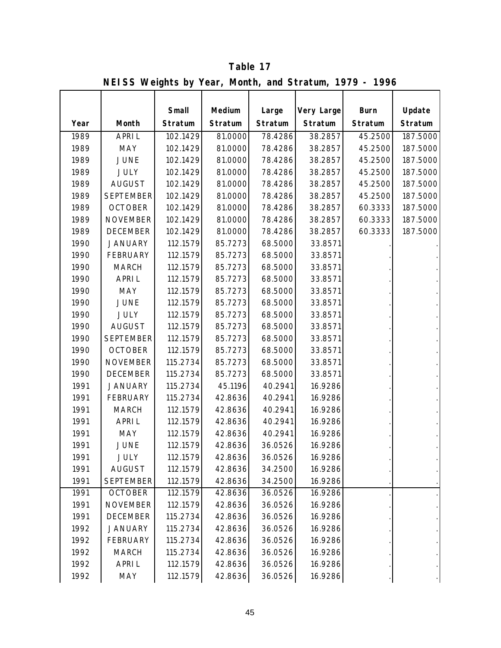|      | $\mathbf{R}$ is the property of $\mathbf{S}$ is the set of $\mathbf{S}$ is the set of $\mathbf{S}$ is the set of $\mathbf{S}$ is the set of $\mathbf{S}$ is the set of $\mathbf{S}$ is the set of $\mathbf{S}$ is the set of $\mathbf{S}$ is the set of $\mathbf{S}$ |                  |                   |                  |                       |                        |                   |
|------|----------------------------------------------------------------------------------------------------------------------------------------------------------------------------------------------------------------------------------------------------------------------|------------------|-------------------|------------------|-----------------------|------------------------|-------------------|
| Year | Month                                                                                                                                                                                                                                                                | Small<br>Stratum | Medium<br>Stratum | Large<br>Stratum | Very Large<br>Stratum | <b>Burn</b><br>Stratum | Update<br>Stratum |
| 1989 | <b>APRIL</b>                                                                                                                                                                                                                                                         | 102.1429         | 81.0000           | 78.4286          | 38.2857               | 45.2500                | 187.5000          |
| 1989 | <b>MAY</b>                                                                                                                                                                                                                                                           | 102.1429         | 81.0000           | 78.4286          | 38.2857               | 45.2500                | 187.5000          |
| 1989 | <b>JUNE</b>                                                                                                                                                                                                                                                          | 102.1429         | 81.0000           | 78.4286          | 38.2857               | 45.2500                | 187.5000          |
| 1989 | <b>JULY</b>                                                                                                                                                                                                                                                          | 102.1429         | 81.0000           | 78.4286          | 38.2857               | 45.2500                | 187.5000          |
| 1989 | <b>AUGUST</b>                                                                                                                                                                                                                                                        | 102.1429         | 81.0000           | 78.4286          | 38.2857               | 45.2500                | 187.5000          |
| 1989 | <b>SEPTEMBER</b>                                                                                                                                                                                                                                                     | 102.1429         | 81.0000           | 78.4286          | 38.2857               | 45.2500                | 187.5000          |
| 1989 | <b>OCTOBER</b>                                                                                                                                                                                                                                                       | 102.1429         | 81.0000           | 78.4286          | 38.2857               | 60.3333                | 187.5000          |
| 1989 | <b>NOVEMBER</b>                                                                                                                                                                                                                                                      | 102.1429         | 81.0000           | 78.4286          | 38.2857               | 60.3333                | 187.5000          |
| 1989 | <b>DECEMBER</b>                                                                                                                                                                                                                                                      | 102.1429         | 81.0000           | 78.4286          | 38.2857               | 60.3333                | 187.5000          |
| 1990 | <b>JANUARY</b>                                                                                                                                                                                                                                                       | 112.1579         | 85.7273           | 68.5000          | 33.8571               |                        |                   |
| 1990 | <b>FEBRUARY</b>                                                                                                                                                                                                                                                      | 112.1579         | 85.7273           | 68.5000          | 33.8571               |                        |                   |
| 1990 | <b>MARCH</b>                                                                                                                                                                                                                                                         | 112.1579         | 85.7273           | 68.5000          | 33.8571               |                        |                   |
| 1990 | <b>APRIL</b>                                                                                                                                                                                                                                                         | 112.1579         | 85.7273           | 68.5000          | 33.8571               |                        |                   |
| 1990 | <b>MAY</b>                                                                                                                                                                                                                                                           | 112.1579         | 85.7273           | 68.5000          | 33.8571               |                        |                   |
| 1990 | <b>JUNE</b>                                                                                                                                                                                                                                                          | 112.1579         | 85.7273           | 68.5000          | 33.8571               |                        |                   |
| 1990 | <b>JULY</b>                                                                                                                                                                                                                                                          | 112.1579         | 85.7273           | 68.5000          | 33.8571               |                        |                   |
| 1990 | <b>AUGUST</b>                                                                                                                                                                                                                                                        | 112.1579         | 85.7273           | 68.5000          | 33.8571               |                        |                   |
| 1990 | <b>SEPTEMBER</b>                                                                                                                                                                                                                                                     | 112.1579         | 85.7273           | 68.5000          | 33.8571               |                        |                   |
| 1990 | <b>OCTOBER</b>                                                                                                                                                                                                                                                       | 112.1579         | 85.7273           | 68.5000          | 33.8571               |                        |                   |
| 1990 | <b>NOVEMBER</b>                                                                                                                                                                                                                                                      | 115.2734         | 85.7273           | 68.5000          | 33.8571               |                        |                   |
| 1990 | <b>DECEMBER</b>                                                                                                                                                                                                                                                      | 115.2734         | 85.7273           | 68.5000          | 33.8571               |                        |                   |
| 1991 | <b>JANUARY</b>                                                                                                                                                                                                                                                       | 115.2734         | 45.1196           | 40.2941          | 16.9286               |                        |                   |
| 1991 | <b>FEBRUARY</b>                                                                                                                                                                                                                                                      | 115.2734         | 42.8636           | 40.2941          | 16.9286               |                        |                   |
| 1991 | <b>MARCH</b>                                                                                                                                                                                                                                                         | 112.1579         | 42.8636           | 40.2941          | 16.9286               |                        |                   |
| 1991 | <b>APRIL</b>                                                                                                                                                                                                                                                         | 112.1579         | 42.8636           | 40.2941          | 16.9286               |                        |                   |
| 1991 | <b>MAY</b>                                                                                                                                                                                                                                                           | 112.1579         | 42.8636           | 40.2941          | 16.9286               |                        |                   |
| 1991 | <b>JUNE</b>                                                                                                                                                                                                                                                          | 112.1579         | 42.8636           | 36.0526          | 16.9286               |                        |                   |
| 1991 | <b>JULY</b>                                                                                                                                                                                                                                                          | 112.1579         | 42.8636           | 36.0526          | 16.9286               |                        |                   |
| 1991 | <b>AUGUST</b>                                                                                                                                                                                                                                                        | 112.1579         | 42.8636           | 34.2500          | 16.9286               |                        |                   |
| 1991 | <b>SEPTEMBER</b>                                                                                                                                                                                                                                                     | 112.1579         | 42.8636           | 34.2500          | 16.9286               |                        |                   |
| 1991 | <b>OCTOBER</b>                                                                                                                                                                                                                                                       | 112.1579         | 42.8636           | 36.0526          | 16.9286               |                        |                   |
| 1991 | <b>NOVEMBER</b>                                                                                                                                                                                                                                                      | 112.1579         | 42.8636           | 36.0526          | 16.9286               |                        |                   |
| 1991 | <b>DECEMBER</b>                                                                                                                                                                                                                                                      | 115.2734         | 42.8636           | 36.0526          | 16.9286               |                        |                   |
| 1992 | <b>JANUARY</b>                                                                                                                                                                                                                                                       | 115.2734         | 42.8636           | 36.0526          | 16.9286               |                        |                   |
| 1992 | <b>FEBRUARY</b>                                                                                                                                                                                                                                                      | 115.2734         | 42.8636           | 36.0526          | 16.9286               |                        |                   |
| 1992 | <b>MARCH</b>                                                                                                                                                                                                                                                         | 115.2734         | 42.8636           | 36.0526          | 16.9286               |                        |                   |
| 1992 | <b>APRIL</b>                                                                                                                                                                                                                                                         | 112.1579         | 42.8636           | 36.0526          | 16.9286               |                        |                   |
| 1992 | MAY                                                                                                                                                                                                                                                                  | 112.1579         | 42.8636           | 36.0526          | 16.9286               |                        |                   |

**NEISS Weights by Year, Month, and Stratum, 1979 - 1996 Table 17**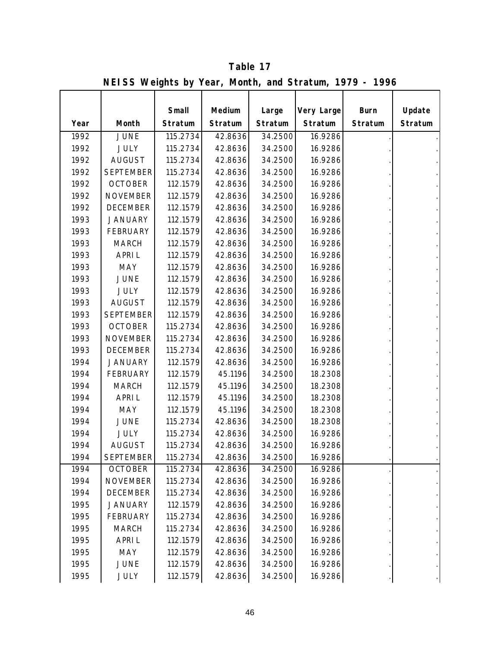|      | $\mathbf{N}$ - $\mathbf{U}$ , $\mathbf{U}$ , $\mathbf{U}$ , $\mathbf{U}$ , $\mathbf{U}$ , $\mathbf{U}$ , $\mathbf{U}$ , $\mathbf{U}$ , $\mathbf{U}$ , $\mathbf{U}$ , $\mathbf{U}$ , $\mathbf{U}$ , $\mathbf{U}$ , $\mathbf{U}$ , $\mathbf{U}$ , $\mathbf{U}$ , $\mathbf{U}$ , $\mathbf{U}$ , $\mathbf{U}$ , |          |         |         |            |             |         |
|------|-------------------------------------------------------------------------------------------------------------------------------------------------------------------------------------------------------------------------------------------------------------------------------------------------------------|----------|---------|---------|------------|-------------|---------|
|      |                                                                                                                                                                                                                                                                                                             | Small    | Medium  | Large   | Very Large | <b>Burn</b> | Update  |
|      |                                                                                                                                                                                                                                                                                                             |          |         |         |            |             |         |
| Year | Month                                                                                                                                                                                                                                                                                                       | Stratum  | Stratum | Stratum | Stratum    | Stratum     | Stratum |
| 1992 | <b>JUNE</b>                                                                                                                                                                                                                                                                                                 | 115.2734 | 42.8636 | 34.2500 | 16.9286    |             |         |
| 1992 | <b>JULY</b>                                                                                                                                                                                                                                                                                                 | 115.2734 | 42.8636 | 34.2500 | 16.9286    |             |         |
| 1992 | <b>AUGUST</b>                                                                                                                                                                                                                                                                                               | 115.2734 | 42.8636 | 34.2500 | 16.9286    |             |         |
| 1992 | <b>SEPTEMBER</b>                                                                                                                                                                                                                                                                                            | 115.2734 | 42.8636 | 34.2500 | 16.9286    |             |         |
| 1992 | <b>OCTOBER</b>                                                                                                                                                                                                                                                                                              | 112.1579 | 42.8636 | 34.2500 | 16.9286    |             |         |
| 1992 | <b>NOVEMBER</b>                                                                                                                                                                                                                                                                                             | 112.1579 | 42.8636 | 34.2500 | 16.9286    |             |         |
| 1992 | <b>DECEMBER</b>                                                                                                                                                                                                                                                                                             | 112.1579 | 42.8636 | 34.2500 | 16.9286    |             |         |
| 1993 | <b>JANUARY</b>                                                                                                                                                                                                                                                                                              | 112.1579 | 42.8636 | 34.2500 | 16.9286    |             |         |
| 1993 | <b>FEBRUARY</b>                                                                                                                                                                                                                                                                                             | 112.1579 | 42.8636 | 34.2500 | 16.9286    |             |         |
| 1993 | <b>MARCH</b>                                                                                                                                                                                                                                                                                                | 112.1579 | 42.8636 | 34.2500 | 16.9286    |             |         |
| 1993 | <b>APRIL</b>                                                                                                                                                                                                                                                                                                | 112.1579 | 42.8636 | 34.2500 | 16.9286    |             |         |
| 1993 | <b>MAY</b>                                                                                                                                                                                                                                                                                                  | 112.1579 | 42.8636 | 34.2500 | 16.9286    |             |         |
| 1993 | <b>JUNE</b>                                                                                                                                                                                                                                                                                                 | 112.1579 | 42.8636 | 34.2500 | 16.9286    |             |         |
| 1993 | <b>JULY</b>                                                                                                                                                                                                                                                                                                 | 112.1579 | 42.8636 | 34.2500 | 16.9286    |             |         |
| 1993 | <b>AUGUST</b>                                                                                                                                                                                                                                                                                               | 112.1579 | 42.8636 | 34.2500 | 16.9286    |             |         |
| 1993 | <b>SEPTEMBER</b>                                                                                                                                                                                                                                                                                            | 112.1579 | 42.8636 | 34.2500 | 16.9286    |             |         |
| 1993 | <b>OCTOBER</b>                                                                                                                                                                                                                                                                                              | 115.2734 | 42.8636 | 34.2500 | 16.9286    |             |         |
| 1993 | <b>NOVEMBER</b>                                                                                                                                                                                                                                                                                             | 115.2734 | 42.8636 | 34.2500 | 16.9286    |             |         |
| 1993 | <b>DECEMBER</b>                                                                                                                                                                                                                                                                                             | 115.2734 | 42.8636 | 34.2500 | 16.9286    |             |         |
| 1994 | <b>JANUARY</b>                                                                                                                                                                                                                                                                                              | 112.1579 | 42.8636 | 34.2500 | 16.9286    |             |         |
| 1994 | <b>FEBRUARY</b>                                                                                                                                                                                                                                                                                             | 112.1579 | 45.1196 | 34.2500 | 18.2308    |             |         |
| 1994 | <b>MARCH</b>                                                                                                                                                                                                                                                                                                | 112.1579 | 45.1196 | 34.2500 | 18.2308    |             |         |
| 1994 | <b>APRIL</b>                                                                                                                                                                                                                                                                                                | 112.1579 | 45.1196 | 34.2500 | 18.2308    |             |         |
| 1994 | <b>MAY</b>                                                                                                                                                                                                                                                                                                  | 112.1579 | 45.1196 | 34.2500 | 18.2308    |             |         |
| 1994 | <b>JUNE</b>                                                                                                                                                                                                                                                                                                 | 115.2734 | 42.8636 | 34.2500 | 18.2308    |             |         |
| 1994 | <b>JULY</b>                                                                                                                                                                                                                                                                                                 | 115.2734 | 42.8636 | 34.2500 | 16.9286    |             |         |
| 1994 | <b>AUGUST</b>                                                                                                                                                                                                                                                                                               | 115.2734 | 42.8636 | 34.2500 | 16.9286    |             |         |
| 1994 | <b>SEPTEMBER</b>                                                                                                                                                                                                                                                                                            | 115.2734 | 42.8636 | 34.2500 | 16.9286    |             |         |
| 1994 | <b>OCTOBER</b>                                                                                                                                                                                                                                                                                              | 115.2734 | 42.8636 | 34.2500 | 16.9286    |             |         |
| 1994 | <b>NOVEMBER</b>                                                                                                                                                                                                                                                                                             | 115.2734 | 42.8636 | 34.2500 | 16.9286    |             |         |
| 1994 | <b>DECEMBER</b>                                                                                                                                                                                                                                                                                             | 115.2734 | 42.8636 | 34.2500 | 16.9286    |             |         |
| 1995 | <b>JANUARY</b>                                                                                                                                                                                                                                                                                              | 112.1579 | 42.8636 | 34.2500 | 16.9286    |             |         |
| 1995 | <b>FEBRUARY</b>                                                                                                                                                                                                                                                                                             | 115.2734 | 42.8636 | 34.2500 | 16.9286    |             |         |
| 1995 | <b>MARCH</b>                                                                                                                                                                                                                                                                                                | 115.2734 | 42.8636 | 34.2500 | 16.9286    |             |         |
| 1995 | <b>APRIL</b>                                                                                                                                                                                                                                                                                                | 112.1579 | 42.8636 | 34.2500 | 16.9286    |             |         |
| 1995 | <b>MAY</b>                                                                                                                                                                                                                                                                                                  | 112.1579 | 42.8636 | 34.2500 | 16.9286    |             |         |
| 1995 | JUNE                                                                                                                                                                                                                                                                                                        | 112.1579 | 42.8636 | 34.2500 | 16.9286    |             |         |
| 1995 | <b>JULY</b>                                                                                                                                                                                                                                                                                                 | 112.1579 | 42.8636 | 34.2500 | 16.9286    |             |         |

**NEISS Weights by Year, Month, and Stratum, 1979 - 1996 Table 17**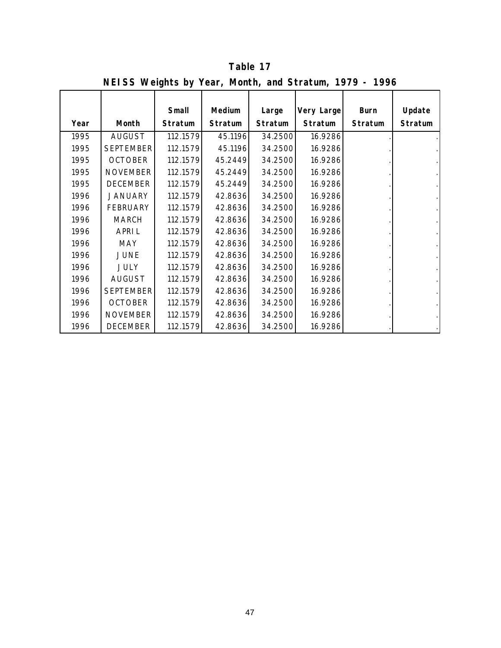|      | INCLESS WEIGHTS By Teal, MONTH, and Stratum, $1777 - 1770$ |                |         |         |            |             |                |
|------|------------------------------------------------------------|----------------|---------|---------|------------|-------------|----------------|
|      |                                                            |                |         |         |            |             |                |
|      |                                                            | Small          | Medium  | Large   | Very Large | <b>Burn</b> | Update         |
| Year | Month                                                      | <b>Stratum</b> | Stratum | Stratum | Stratum    | Stratum     | <b>Stratum</b> |
| 1995 | <b>AUGUST</b>                                              | 112.1579       | 45.1196 | 34.2500 | 16.9286    |             |                |
| 1995 | <b>SEPTEMBER</b>                                           | 112.1579       | 45.1196 | 34.2500 | 16.9286    |             |                |
| 1995 | <b>OCTOBER</b>                                             | 112.1579       | 45.2449 | 34.2500 | 16.9286    |             |                |
| 1995 | <b>NOVEMBER</b>                                            | 112.1579       | 45.2449 | 34.2500 | 16.9286    |             |                |
| 1995 | <b>DECEMBER</b>                                            | 112.1579       | 45.2449 | 34.2500 | 16.9286    |             |                |
| 1996 | <b>JANUARY</b>                                             | 112.1579       | 42.8636 | 34.2500 | 16.9286    |             |                |
| 1996 | <b>FEBRUARY</b>                                            | 112.1579       | 42.8636 | 34.2500 | 16.9286    |             |                |
| 1996 | <b>MARCH</b>                                               | 112.1579       | 42.8636 | 34.2500 | 16.9286    |             |                |
| 1996 | <b>APRIL</b>                                               | 112.1579       | 42.8636 | 34.2500 | 16.9286    |             |                |
| 1996 | MAY                                                        | 112.1579       | 42.8636 | 34.2500 | 16.9286    |             |                |
| 1996 | <b>JUNE</b>                                                | 112.1579       | 42.8636 | 34.2500 | 16.9286    |             |                |
| 1996 | <b>JULY</b>                                                | 112.1579       | 42.8636 | 34.2500 | 16.9286    |             |                |
| 1996 | <b>AUGUST</b>                                              | 112.1579       | 42.8636 | 34.2500 | 16.9286    |             |                |
| 1996 | <b>SEPTEMBER</b>                                           | 112.1579       | 42.8636 | 34.2500 | 16.9286    |             |                |
| 1996 | <b>OCTOBER</b>                                             | 112.1579       | 42.8636 | 34.2500 | 16.9286    |             |                |
| 1996 | <b>NOVEMBER</b>                                            | 112.1579       | 42.8636 | 34.2500 | 16.9286    |             |                |
| 1996 | <b>DECEMBER</b>                                            | 112.1579       | 42.8636 | 34.2500 | 16.9286    |             |                |

**NEISS Weights by Year, Month, and Stratum, 1979 - 1996 Table 17**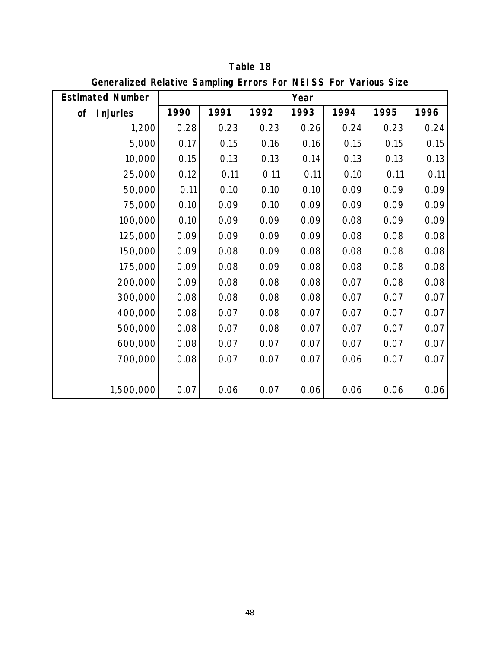| <b>Estimated Number</b> |      |      |      | Year |      |      |      |
|-------------------------|------|------|------|------|------|------|------|
|                         |      | 1991 | 1992 |      |      | 1995 |      |
| <b>Injuries</b><br>of   | 1990 |      |      | 1993 | 1994 |      | 1996 |
| 1,200                   | 0.28 | 0.23 | 0.23 | 0.26 | 0.24 | 0.23 | 0.24 |
| 5,000                   | 0.17 | 0.15 | 0.16 | 0.16 | 0.15 | 0.15 | 0.15 |
| 10,000                  | 0.15 | 0.13 | 0.13 | 0.14 | 0.13 | 0.13 | 0.13 |
| 25,000                  | 0.12 | 0.11 | 0.11 | 0.11 | 0.10 | 0.11 | 0.11 |
| 50,000                  | 0.11 | 0.10 | 0.10 | 0.10 | 0.09 | 0.09 | 0.09 |
| 75,000                  | 0.10 | 0.09 | 0.10 | 0.09 | 0.09 | 0.09 | 0.09 |
| 100,000                 | 0.10 | 0.09 | 0.09 | 0.09 | 0.08 | 0.09 | 0.09 |
| 125,000                 | 0.09 | 0.09 | 0.09 | 0.09 | 0.08 | 0.08 | 0.08 |
| 150,000                 | 0.09 | 0.08 | 0.09 | 0.08 | 0.08 | 0.08 | 0.08 |
| 175,000                 | 0.09 | 0.08 | 0.09 | 0.08 | 0.08 | 0.08 | 0.08 |
| 200,000                 | 0.09 | 0.08 | 0.08 | 0.08 | 0.07 | 0.08 | 0.08 |
| 300,000                 | 0.08 | 0.08 | 0.08 | 0.08 | 0.07 | 0.07 | 0.07 |
| 400,000                 | 0.08 | 0.07 | 0.08 | 0.07 | 0.07 | 0.07 | 0.07 |
| 500,000                 | 0.08 | 0.07 | 0.08 | 0.07 | 0.07 | 0.07 | 0.07 |
| 600,000                 | 0.08 | 0.07 | 0.07 | 0.07 | 0.07 | 0.07 | 0.07 |
| 700,000                 | 0.08 | 0.07 | 0.07 | 0.07 | 0.06 | 0.07 | 0.07 |
| 1,500,000               | 0.07 | 0.06 | 0.07 | 0.06 | 0.06 | 0.06 | 0.06 |

**Generalized Relative Sampling Errors For NEISS For Various Size Table 18**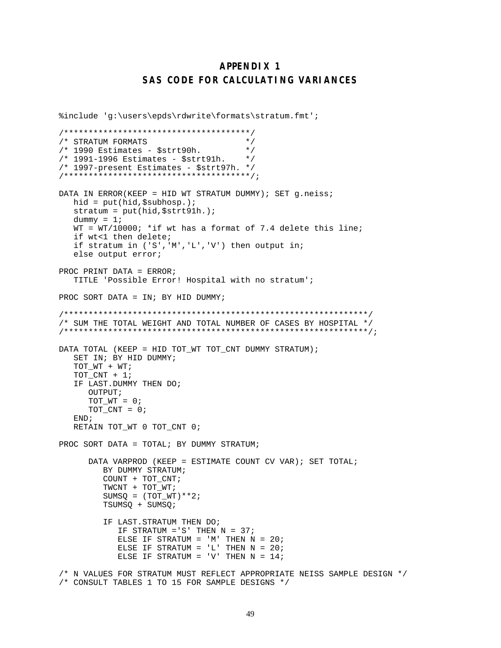## **APPENDIX 1 SAS CODE FOR CALCULATING VARIANCES**

```
%include 'g:\users\epds\rdwrite\formats\stratum.fmt';
/**************************************/
/* STRATUM FORMATS */
/* 1990 Estimates - $strt90h. */
/* 1991-1996 Estimates - $strt91h. */
/* 1997-present Estimates - $strt97h. */
/**************************************/;
DATA IN ERROR(KEEP = HID WT STRATUM DUMMY); SET g.neiss;
   hid = put(hid,$subhosp.);
    stratum = put(hid,$strt91h.);
  dummy = 1;
  WT = WT/10000; *if wt has a format of 7.4 delete this line;
   if wt<1 then delete;
   if stratum in ('S','M','L','V') then output in;
   else output error;
PROC PRINT DATA = ERROR;
   TITLE 'Possible Error! Hospital with no stratum';
PROC SORT DATA = IN; BY HID DUMMY;
/**************************************************************/
/* SUM THE TOTAL WEIGHT AND TOTAL NUMBER OF CASES BY HOSPITAL */
/**************************************************************/;
DATA TOTAL (KEEP = HID TOT WT TOT CNT DUMMY STRATUM);
    SET IN; BY HID DUMMY;
    TOT_WT + WT;
   TOT_CNT + 1;
    IF LAST.DUMMY THEN DO;
       OUTPUT;
      TOT_WT = 0;TOT_CNT = 0; END;
   RETAIN TOT_WT 0 TOT_CNT 0;
PROC SORT DATA = TOTAL; BY DUMMY STRATUM;
       DATA VARPROD (KEEP = ESTIMATE COUNT CV VAR); SET TOTAL;
          BY DUMMY STRATUM;
          COUNT + TOT_CNT;
          TWCNT + TOT_WT;
         SUMSQ = (TOTWT)**2; TSUMSQ + SUMSQ;
          IF LAST.STRATUM THEN DO;
             IF STRATUM ='S' THEN N = 37;
            ELSE IF STRATUM = 'M' THEN N = 20;
            ELSE IF STRATUM = 'L' THEN N = 20;
            ELSE IF STRATUM = 'V' THEN N = 14;
/* N VALUES FOR STRATUM MUST REFLECT APPROPRIATE NEISS SAMPLE DESIGN */
/* CONSULT TABLES 1 TO 15 FOR SAMPLE DESIGNS */
```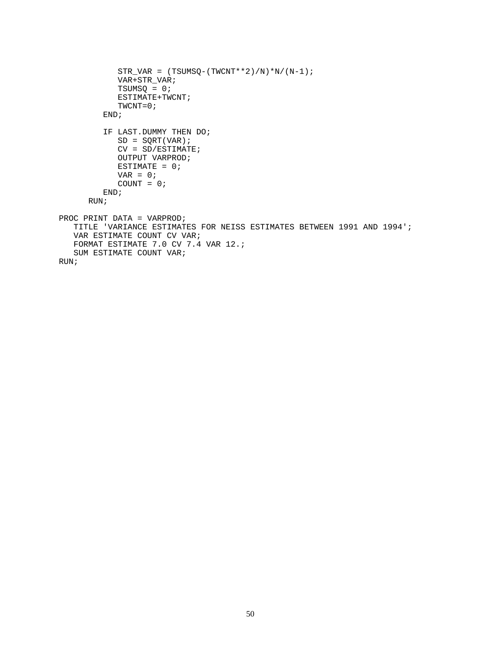```
STR_VAR = (TSUMSQ - (TWCNT**2)/N)*N/(N-1); VAR+STR_VAR;
             TSUMSQ = 0;
             ESTIMATE+TWCNT;
             TWCNT=0;
          END;
          IF LAST.DUMMY THEN DO;
            SD = SORT(VAR);
             CV = SD/ESTIMATE;
             OUTPUT VARPROD;
            ESTIMATE = 0;VAR = 0;COUNT = 0; END;
       RUN;
PROC PRINT DATA = VARPROD;
   TITLE 'VARIANCE ESTIMATES FOR NEISS ESTIMATES BETWEEN 1991 AND 1994';
    VAR ESTIMATE COUNT CV VAR;
   FORMAT ESTIMATE 7.0 CV 7.4 VAR 12.;
    SUM ESTIMATE COUNT VAR;
RUN;
```